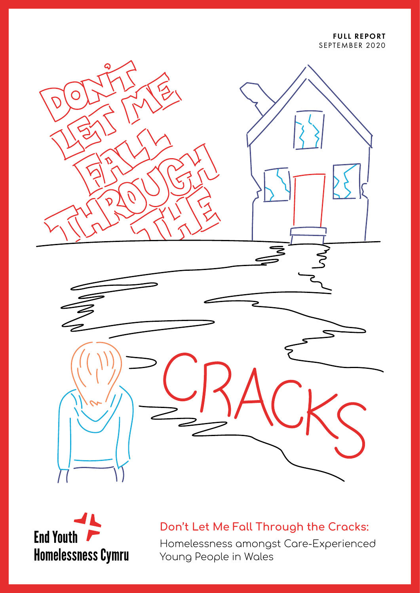FULL REPORT SEPTEMBER 2020





**Don't Let Me Fall Through the Cracks:**

Homelessness amongst Care-Experienced Young People in Wales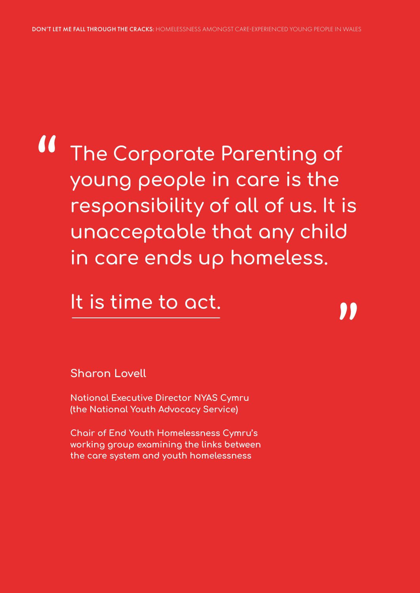# **The Corporate Parenting of young people in care is the responsibility of all of us. It is unacceptable that any child in care ends up homeless.**

## **It is time to act.**

**Sharon Lovell**

**National Executive Director NYAS Cymru (the National Youth Advocacy Service)**

**Chair of End Youth Homelessness Cymru's working group examining the links between the care system and youth homelessness**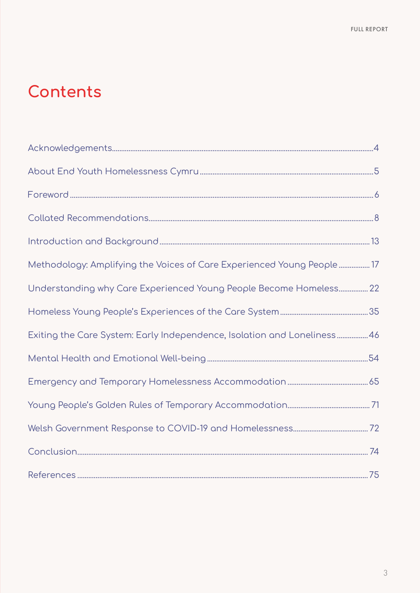## **Contents**

| Methodology: Amplifying the Voices of Care Experienced Young People 17   |  |
|--------------------------------------------------------------------------|--|
| Understanding why Care Experienced Young People Become Homeless 22       |  |
|                                                                          |  |
| Exiting the Care System: Early Independence, Isolation and Loneliness 46 |  |
|                                                                          |  |
|                                                                          |  |
|                                                                          |  |
|                                                                          |  |
|                                                                          |  |
|                                                                          |  |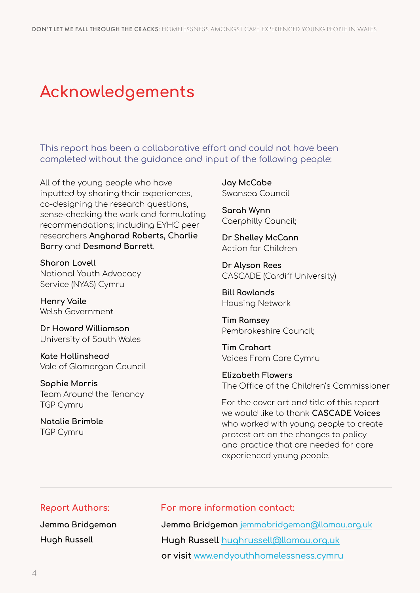## **Acknowledgements**

This report has been a collaborative effort and could not have been completed without the guidance and input of the following people:

All of the young people who have inputted by sharing their experiences, co-designing the research questions, sense-checking the work and formulating recommendations; including EYHC peer researchers **Angharad Roberts, Charlie Barry** and **Desmond Barrett**.

**Sharon Lovell** National Youth Advocacy Service (NYAS) Cymru

**Henry Vaile** Welsh Government

**Dr Howard Williamson** University of South Wales

**Kate Hollinshead** Vale of Glamorgan Council

**Sophie Morris** Team Around the Tenancy TGP Cymru

**Natalie Brimble** TGP Cymru

**Jay McCabe** Swansea Council

**Sarah Wynn** Caerphilly Council;

**Dr Shelley McCann** Action for Children

**Dr Alyson Rees** CASCADE (Cardiff University)

**Bill Rowlands** Housing Network

**Tim Ramsey** Pembrokeshire Council;

**Tim Crahart** Voices From Care Cymru

**Elizabeth Flowers** The Office of the Children's Commissioner

For the cover art and title of this report we would like to thank **CASCADE Voices** who worked with young people to create protest art on the changes to policy and practice that are needed for care experienced young people.

#### **Report Authors:**

**Jemma Bridgeman Hugh Russell** 

#### **For more information contact:**

**Jemma Bridgeman** [jemmabridgeman@llamau.org.uk](mailto:jemmabridgeman%40llamau.org.uk?subject=) **Hugh Russell** [hughrussell@llamau.org.uk](mailto:hughrussell%40llamau.org.uk?subject=) **or visit** [www.endyouthhomelessness.cymru](http://www.endyouthhomelessness.cymru)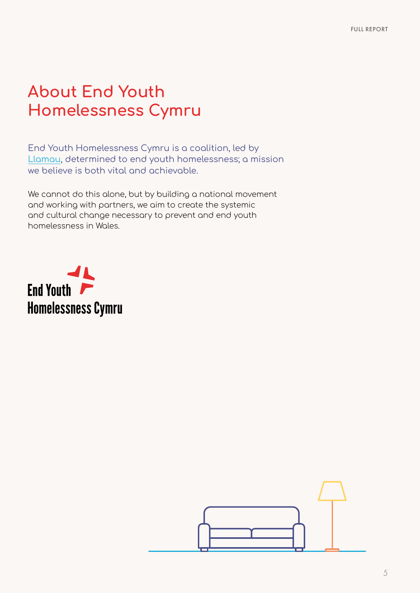## **About End Youth Homelessness Cymru**

End Youth Homelessness Cymru is a coalition, led by [Llamau](https://www.llamau.org.uk/), determined to end youth homelessness; a mission we believe is both vital and achievable.

We cannot do this alone, but by building a national movement and working with partners, we aim to create the systemic and cultural change necessary to prevent and end youth homelessness in Wales.



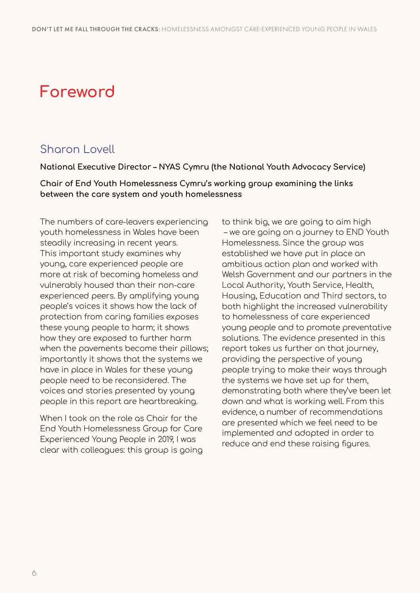## **Foreword**

## Sharon Lovell

#### **National Executive Director – NYAS Cymru (the National Youth Advocacy Service)**

**Chair of End Youth Homelessness Cymru's working group examining the links between the care system and youth homelessness**

The numbers of care-leavers experiencing youth homelessness in Wales have been steadily increasing in recent years. This important study examines why young, care experienced people are more at risk of becoming homeless and vulnerably housed than their non-care experienced peers. By amplifying young people's voices it shows how the lack of protection from caring families exposes these young people to harm; it shows how they are exposed to further harm when the pavements become their pillows; importantly it shows that the systems we have in place in Wales for these young people need to be reconsidered. The voices and stories presented by young people in this report are heartbreaking.

When I took on the role as Chair for the End Youth Homelessness Group for Care Experienced Young People in 2019, I was clear with colleagues: this group is going to think big, we are going to aim high – we are going on a journey to END Youth Homelessness. Since the group was established we have put in place an ambitious action plan and worked with Welsh Government and our partners in the Local Authority, Youth Service, Health, Housing, Education and Third sectors, to both highlight the increased vulnerability to homelessness of care experienced young people and to promote preventative solutions. The evidence presented in this report takes us further on that journey, providing the perspective of young people trying to make their ways through the systems we have set up for them, demonstrating both where they've been let down and what is working well. From this evidence, a number of recommendations are presented which we feel need to be implemented and adopted in order to reduce and end these raising figures.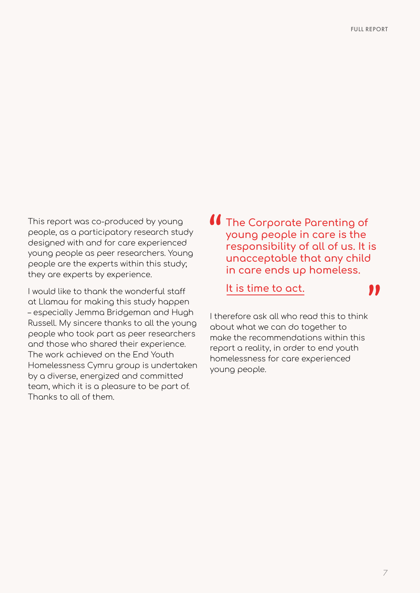This report was co-produced by young people, as a participatory research study designed with and for care experienced young people as peer researchers. Young people are the experts within this study; they are experts by experience.

I would like to thank the wonderful staff at Llamau for making this study happen – especially Jemma Bridgeman and Hugh Russell. My sincere thanks to all the young people who took part as peer researchers and those who shared their experience. The work achieved on the End Youth Homelessness Cymru group is undertaken by a diverse, energized and committed team, which it is a pleasure to be part of. Thanks to all of them.

**The Corporate Parenting of young people in care is the responsibility of all of us. It is unacceptable that any child in care ends up homeless.**

**It is time to act.**

"

I therefore ask all who read this to think about what we can do together to make the recommendations within this report a reality, in order to end youth homelessness for care experienced young people.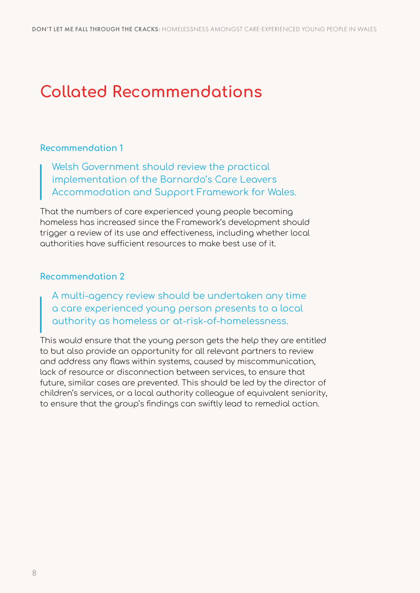## **Collated Recommendations**

### **Recommendation 1**

Welsh Government should review the practical implementation of the Barnardo's Care Leavers Accommodation and Support Framework for Wales.

That the numbers of care experienced young people becoming homeless has increased since the Framework's development should trigger a review of its use and effectiveness, including whether local authorities have sufficient resources to make best use of it.

### **Recommendation 2**

A multi-agency review should be undertaken any time a care experienced young person presents to a local authority as homeless or at-risk-of-homelessness.

This would ensure that the young person gets the help they are entitled to but also provide an opportunity for all relevant partners to review and address any flaws within systems, caused by miscommunication, lack of resource or disconnection between services, to ensure that future, similar cases are prevented. This should be led by the director of children's services, or a local authority colleague of equivalent seniority, to ensure that the group's findings can swiftly lead to remedial action.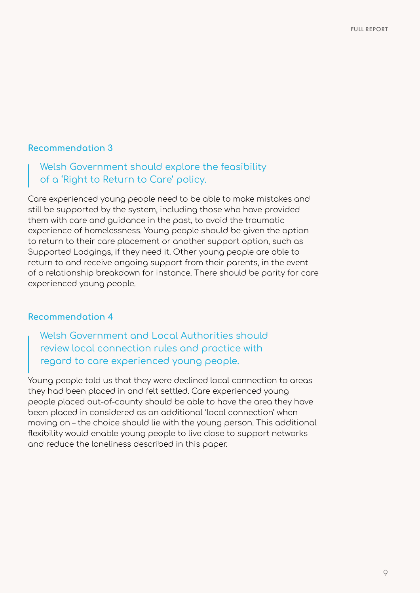### Welsh Government should explore the feasibility of a 'Right to Return to Care' policy.

Care experienced young people need to be able to make mistakes and still be supported by the system, including those who have provided them with care and guidance in the past, to avoid the traumatic experience of homelessness. Young people should be given the option to return to their care placement or another support option, such as Supported Lodgings, if they need it. Other young people are able to return to and receive ongoing support from their parents, in the event of a relationship breakdown for instance. There should be parity for care experienced young people.

#### **Recommendation 4**

Welsh Government and Local Authorities should review local connection rules and practice with regard to care experienced young people.

Young people told us that they were declined local connection to areas they had been placed in and felt settled. Care experienced young people placed out-of-county should be able to have the area they have been placed in considered as an additional 'local connection' when moving on – the choice should lie with the young person. This additional flexibility would enable young people to live close to support networks and reduce the loneliness described in this paper.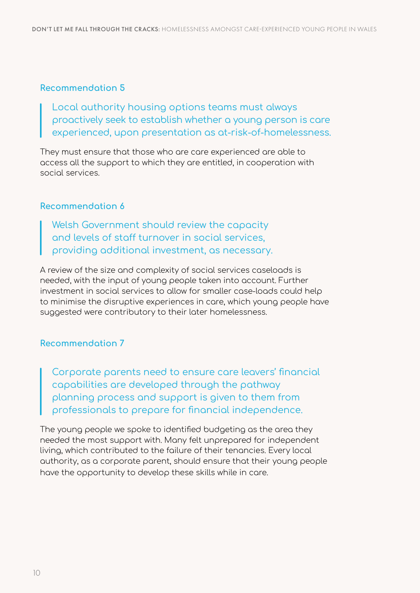Local authority housing options teams must always proactively seek to establish whether a young person is care experienced, upon presentation as at-risk-of-homelessness.

They must ensure that those who are care experienced are able to access all the support to which they are entitled, in cooperation with social services.

#### **Recommendation 6**

Welsh Government should review the capacity and levels of staff turnover in social services, providing additional investment, as necessary.

A review of the size and complexity of social services caseloads is needed, with the input of young people taken into account. Further investment in social services to allow for smaller case-loads could help to minimise the disruptive experiences in care, which young people have suggested were contributory to their later homelessness.

#### **Recommendation 7**

Corporate parents need to ensure care leavers' financial capabilities are developed through the pathway planning process and support is given to them from professionals to prepare for financial independence.

The young people we spoke to identified budgeting as the area they needed the most support with. Many felt unprepared for independent living, which contributed to the failure of their tenancies. Every local authority, as a corporate parent, should ensure that their young people have the opportunity to develop these skills while in care.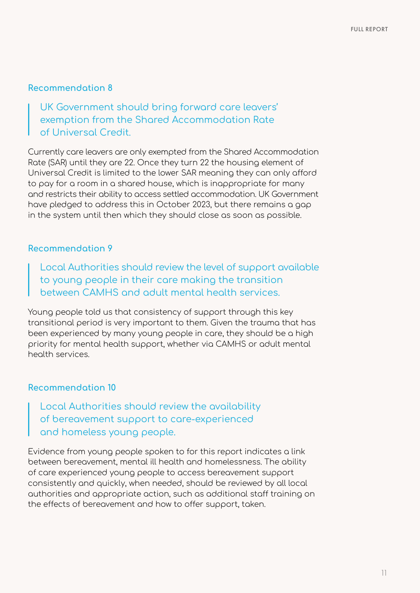UK Government should bring forward care leavers' exemption from the Shared Accommodation Rate of Universal Credit.

Currently care leavers are only exempted from the Shared Accommodation Rate (SAR) until they are 22. Once they turn 22 the housing element of Universal Credit is limited to the lower SAR meaning they can only afford to pay for a room in a shared house, which is inappropriate for many and restricts their ability to access settled accommodation. UK Government have pledged to address this in October 2023, but there remains a gap in the system until then which they should close as soon as possible.

#### **Recommendation 9**

Local Authorities should review the level of support available to young people in their care making the transition between CAMHS and adult mental health services.

Young people told us that consistency of support through this key transitional period is very important to them. Given the trauma that has been experienced by many young people in care, they should be a high priority for mental health support, whether via CAMHS or adult mental health services.

#### **Recommendation 10**

Local Authorities should review the availability of bereavement support to care-experienced and homeless young people.

Evidence from young people spoken to for this report indicates a link between bereavement, mental ill health and homelessness. The ability of care experienced young people to access bereavement support consistently and quickly, when needed, should be reviewed by all local authorities and appropriate action, such as additional staff training on the effects of bereavement and how to offer support, taken.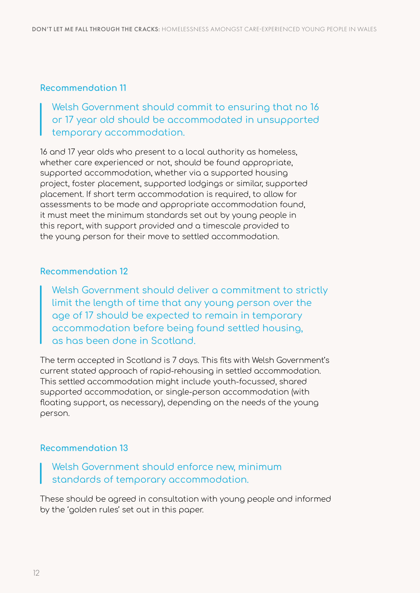Welsh Government should commit to ensuring that no 16 or 17 year old should be accommodated in unsupported temporary accommodation.

16 and 17 year olds who present to a local authority as homeless, whether care experienced or not, should be found appropriate, supported accommodation, whether via a supported housing project, foster placement, supported lodgings or similar, supported placement. If short term accommodation is required, to allow for assessments to be made and appropriate accommodation found, it must meet the minimum standards set out by young people in this report, with support provided and a timescale provided to the young person for their move to settled accommodation.

#### **Recommendation 12**

Welsh Government should deliver a commitment to strictly limit the length of time that any young person over the age of 17 should be expected to remain in temporary accommodation before being found settled housing, as has been done in Scotland.

The term accepted in Scotland is 7 days. This fits with Welsh Government's current stated approach of rapid-rehousing in settled accommodation. This settled accommodation might include youth-focussed, shared supported accommodation, or single-person accommodation (with floating support, as necessary), depending on the needs of the young person.

#### **Recommendation 13**

Welsh Government should enforce new, minimum standards of temporary accommodation.

These should be agreed in consultation with young people and informed by the 'golden rules' set out in this paper.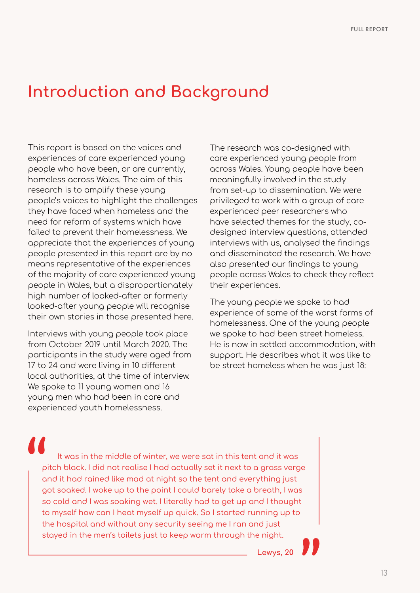## **Introduction and Background**

This report is based on the voices and experiences of care experienced young people who have been, or are currently, homeless across Wales. The aim of this research is to amplify these young people's voices to highlight the challenges they have faced when homeless and the need for reform of systems which have failed to prevent their homelessness. We appreciate that the experiences of young people presented in this report are by no means representative of the experiences of the majority of care experienced young people in Wales, but a disproportionately high number of looked-after or formerly looked-after young people will recognise their own stories in those presented here.

Interviews with young people took place from October 2019 until March 2020. The participants in the study were aged from 17 to 24 and were living in 10 different local authorities, at the time of interview. We spoke to 11 young women and 16 young men who had been in care and experienced youth homelessness.

The research was co-designed with care experienced young people from across Wales. Young people have been meaningfully involved in the study from set-up to dissemination. We were privileged to work with a group of care experienced peer researchers who have selected themes for the study, codesigned interview questions, attended interviews with us, analysed the findings and disseminated the research. We have also presented our findings to young people across Wales to check they reflect their experiences.

The young people we spoke to had experience of some of the worst forms of homelessness. One of the young people we spoke to had been street homeless. He is now in settled accommodation, with support. He describes what it was like to be street homeless when he was just 18:

It was in the middle of winter, we were sat in this tent and it was pitch black. I did not realise I had actually set it next to a grass verge and it had rained like mad at night so the tent and everything just got soaked. I woke up to the point I could barely take a breath, I was so cold and I was soaking wet. I literally had to get up and I thought to myself how can I heat myself up quick. So I started running up to the hospital and without any security seeing me I ran and just stayed in the men's toilets just to keep warm through the night.

**Lewys, 20**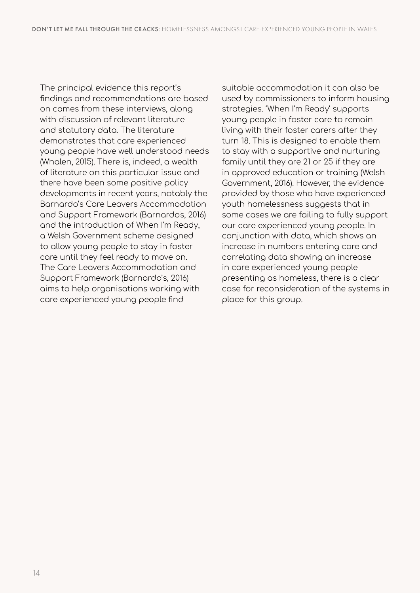The principal evidence this report's findings and recommendations are based on comes from these interviews, along with discussion of relevant literature and statutory data. The literature demonstrates that care experienced young people have well understood needs (Whalen, 2015). There is, indeed, a wealth of literature on this particular issue and there have been some positive policy developments in recent years, notably the Barnardo's Care Leavers Accommodation and Support Framework (Barnardo's, 2016) and the introduction of When I'm Ready, a Welsh Government scheme designed to allow young people to stay in foster care until they feel ready to move on. The Care Leavers Accommodation and Support Framework (Barnardo's, 2016) aims to help organisations working with care experienced young people find

suitable accommodation it can also be used by commissioners to inform housing strategies. 'When I'm Ready' supports young people in foster care to remain living with their foster carers after they turn 18. This is designed to enable them to stay with a supportive and nurturing family until they are 21 or 25 if they are in approved education or training (Welsh Government, 2016). However, the evidence provided by those who have experienced youth homelessness suggests that in some cases we are failing to fully support our care experienced young people. In conjunction with data, which shows an increase in numbers entering care and correlating data showing an increase in care experienced young people presenting as homeless, there is a clear case for reconsideration of the systems in place for this group.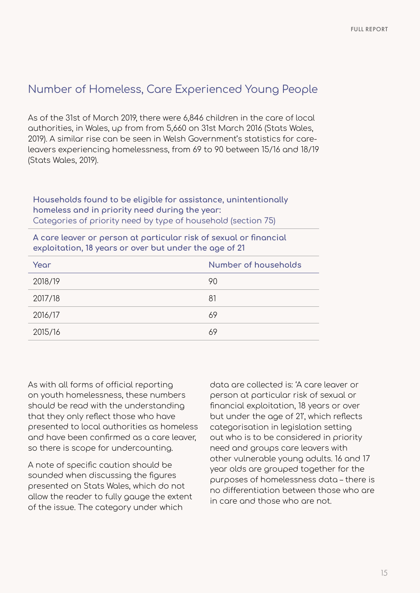## Number of Homeless, Care Experienced Young People

As of the 31st of March 2019, there were 6,846 children in the care of local authorities, in Wales, up from from 5,660 on 31st March 2016 (Stats Wales, 2019). A similar rise can be seen in Welsh Government's statistics for careleavers experiencing homelessness, from 69 to 90 between 15/16 and 18/19 (Stats Wales, 2019).

**Households found to be eligible for assistance, unintentionally homeless and in priority need during the year:**  Categories of priority need by type of household (section 75)

**A care leaver or person at particular risk of sexual or financial exploitation, 18 years or over but under the age of 21**

| Year    | Number of households |
|---------|----------------------|
| 2018/19 | 90                   |
| 2017/18 | 81                   |
| 2016/17 | 69                   |
| 2015/16 | 69                   |

As with all forms of official reporting on youth homelessness, these numbers should be read with the understanding that they only reflect those who have presented to local authorities as homeless and have been confirmed as a care leaver, so there is scope for undercounting.

A note of specific caution should be sounded when discussing the figures presented on Stats Wales, which do not allow the reader to fully gauge the extent of the issue. The category under which

data are collected is: 'A care leaver or person at particular risk of sexual or financial exploitation, 18 years or over but under the age of 21', which reflects categorisation in legislation setting out who is to be considered in priority need and groups care leavers with other vulnerable young adults. 16 and 17 year olds are grouped together for the purposes of homelessness data – there is no differentiation between those who are in care and those who are not.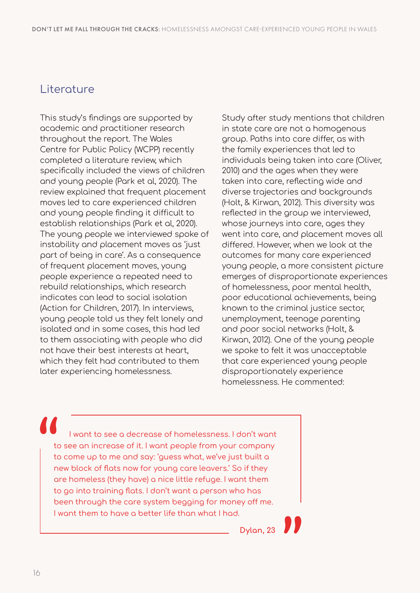## Literature

This study's findings are supported by academic and practitioner research throughout the report. The Wales Centre for Public Policy (WCPP) recently completed a literature review, which specifically included the views of children and young people (Park et al, 2020). The review explained that frequent placement moves led to care experienced children and young people finding it difficult to establish relationships (Park et al, 2020). The young people we interviewed spoke of instability and placement moves as 'just part of being in care'. As a consequence of frequent placement moves, young people experience a repeated need to rebuild relationships, which research indicates can lead to social isolation (Action for Children, 2017). In interviews, young people told us they felt lonely and isolated and in some cases, this had led to them associating with people who did not have their best interests at heart, which they felt had contributed to them later experiencing homelessness.

Study after study mentions that children in state care are not a homogenous group. Paths into care differ, as with the family experiences that led to individuals being taken into care (Oliver, 2010) and the ages when they were taken into care, reflecting wide and diverse trajectories and backgrounds (Holt, & Kirwan, 2012). This diversity was reflected in the group we interviewed, whose journeys into care, ages they went into care, and placement moves all differed. However, when we look at the outcomes for many care experienced young people, a more consistent picture emerges of disproportionate experiences of homelessness, poor mental health, poor educational achievements, being known to the criminal justice sector, unemployment, teenage parenting and poor social networks (Holt, & Kirwan, 2012). One of the young people we spoke to felt it was unacceptable that care experienced young people disproportionately experience homelessness. He commented:

I want to see a decrease of homelessness. I don't want to see an increase of it. I want people from your company to come up to me and say: 'guess what, we've just built a new block of flats now for young care leavers.' So if they are homeless (they have) a nice little refuge. I want them to go into training flats. I don't want a person who has been through the care system begging for money off me. I want them to have a better life than what I had.

**Dylan, 23**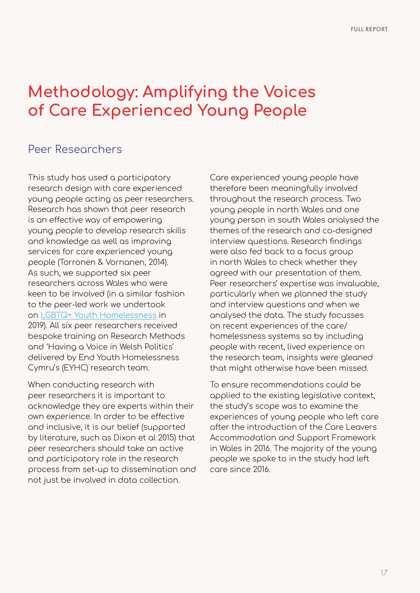## **Methodology: Amplifying the Voices of Care Experienced Young People**

### Peer Researchers

This study has used a participatory research design with care experienced young people acting as peer researchers. Research has shown that peer research is an effective way of empowering young people to develop research skills and knowledge as well as improving services for care experienced young people (Torronen & Vornanen, 2014). As such, we supported six peer researchers across Wales who were keen to be involved (in a similar fashion to the peer-led work we undertook on [LGBTQ+ Youth Homelessness](https://www.llamau.org.uk/out-on-the-streets) in 2019). All six peer researchers received bespoke training on Research Methods and 'Having a Voice in Welsh Politics' delivered by End Youth Homelessness Cymru's (EYHC) research team.

When conducting research with peer researchers it is important to acknowledge they are experts within their own experience. In order to be effective and inclusive, it is our belief (supported by literature, such as Dixon et al 2015) that peer researchers should take an active and participatory role in the research process from set-up to dissemination and not just be involved in data collection.

Care experienced young people have therefore been meaningfully involved throughout the research process. Two young people in north Wales and one young person in south Wales analysed the themes of the research and co-designed interview questions. Research findings were also fed back to a focus group in north Wales to check whether they agreed with our presentation of them. Peer researchers' expertise was invaluable, particularly when we planned the study and interview questions and when we analysed the data. The study focusses on recent experiences of the care/ homelessness systems so by including people with recent, lived experience on the research team, insights were gleaned that might otherwise have been missed.

To ensure recommendations could be applied to the existing legislative context, the study's scope was to examine the experiences of young people who left care after the introduction of the Care Leavers Accommodation and Support Framework in Wales in 2016. The majority of the young people we spoke to in the study had left care since 2016.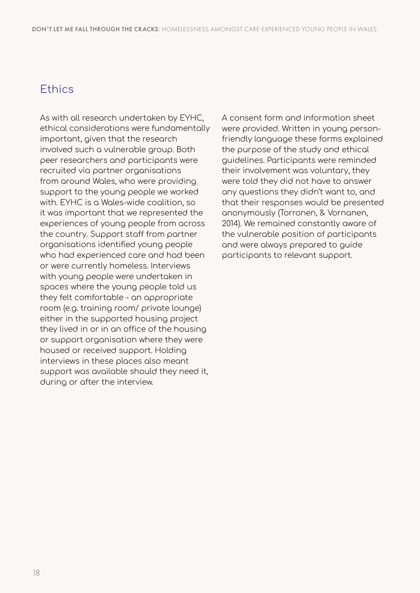### **Ethics**

As with all research undertaken by EYHC, ethical considerations were fundamentally important, given that the research involved such a vulnerable group. Both peer researchers and participants were recruited via partner organisations from around Wales, who were providing support to the young people we worked with. EYHC is a Wales-wide coalition, so it was important that we represented the experiences of young people from across the country. Support staff from partner organisations identified young people who had experienced care and had been or were currently homeless. Interviews with young people were undertaken in spaces where the young people told us they felt comfortable - an appropriate room (e.g. training room/ private lounge) either in the supported housing project they lived in or in an office of the housing or support organisation where they were housed or received support. Holding interviews in these places also meant support was available should they need it, during or after the interview.

A consent form and information sheet were provided. Written in young personfriendly language these forms explained the purpose of the study and ethical guidelines. Participants were reminded their involvement was voluntary, they were told they did not have to answer any questions they didn't want to, and that their responses would be presented anonymously (Torronen, & Vornanen, 2014). We remained constantly aware of the vulnerable position of participants and were always prepared to guide participants to relevant support.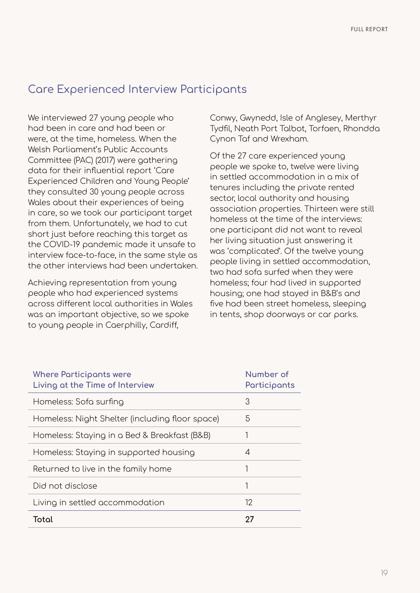## Care Experienced Interview Participants

We interviewed 27 young people who had been in care and had been or were, at the time, homeless. When the Welsh Parliament's Public Accounts Committee (PAC) (2017) were gathering data for their influential report 'Care Experienced Children and Young People' they consulted 30 young people across Wales about their experiences of being in care, so we took our participant target from them. Unfortunately, we had to cut short just before reaching this target as the COVID-19 pandemic made it unsafe to interview face-to-face, in the same style as the other interviews had been undertaken.

Achieving representation from young people who had experienced systems across different local authorities in Wales was an important objective, so we spoke to young people in Caerphilly, Cardiff,

Conwy, Gwynedd, Isle of Anglesey, Merthyr Tydfil, Neath Port Talbot, Torfaen, Rhondda Cynon Taf and Wrexham.

Of the 27 care experienced young people we spoke to, twelve were living in settled accommodation in a mix of tenures including the private rented sector, local authority and housing association properties. Thirteen were still homeless at the time of the interviews: one participant did not want to reveal her living situation just answering it was 'complicated'. Of the twelve young people living in settled accommodation, two had sofa surfed when they were homeless; four had lived in supported housing; one had stayed in B&B's and five had been street homeless, sleeping in tents, shop doorways or car parks.

| <b>Where Participants were</b><br>Living at the Time of Interview | Number of<br>Participants |
|-------------------------------------------------------------------|---------------------------|
| Homeless: Sofa surfing                                            | 3                         |
| Homeless: Night Shelter (including floor space)                   | 5                         |
| Homeless: Staying in a Bed & Breakfast (B&B)                      |                           |
| Homeless: Staying in supported housing                            | 4                         |
| Returned to live in the family home                               | 1                         |
| Did not disclose                                                  | 1                         |
| Living in settled accommodation                                   | 12                        |
| Total                                                             | 27                        |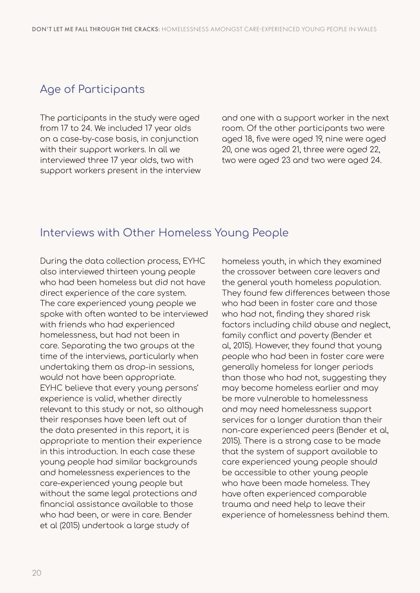## Age of Participants

The participants in the study were aged from 17 to 24. We included 17 year olds on a case-by-case basis, in conjunction with their support workers. In all we interviewed three 17 year olds, two with support workers present in the interview and one with a support worker in the next room. Of the other participants two were aged 18, five were aged 19, nine were aged 20, one was aged 21, three were aged 22, two were aged 23 and two were aged 24.

## Interviews with Other Homeless Young People

During the data collection process, EYHC also interviewed thirteen young people who had been homeless but did not have direct experience of the care system. The care experienced young people we spoke with often wanted to be interviewed with friends who had experienced homelessness, but had not been in care. Separating the two groups at the time of the interviews, particularly when undertaking them as drop-in sessions, would not have been appropriate. EYHC believe that every young persons' experience is valid, whether directly relevant to this study or not, so although their responses have been left out of the data presented in this report, it is appropriate to mention their experience in this introduction. In each case these young people had similar backgrounds and homelessness experiences to the care-experienced young people but without the same legal protections and financial assistance available to those who had been, or were in care. Bender et al (2015) undertook a large study of

homeless youth, in which they examined the crossover between care leavers and the general youth homeless population. They found few differences between those who had been in foster care and those who had not, finding they shared risk factors including child abuse and neglect, family conflict and poverty (Bender et al, 2015). However, they found that young people who had been in foster care were generally homeless for longer periods than those who had not, suggesting they may become homeless earlier and may be more vulnerable to homelessness and may need homelessness support services for a longer duration than their non-care experienced peers (Bender et al, 2015). There is a strong case to be made that the system of support available to care experienced young people should be accessible to other young people who have been made homeless. They have often experienced comparable trauma and need help to leave their experience of homelessness behind them.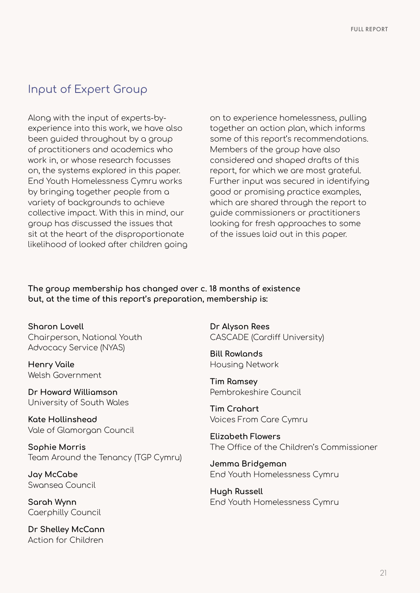## Input of Expert Group

Along with the input of experts-byexperience into this work, we have also been guided throughout by a group of practitioners and academics who work in, or whose research focusses on, the systems explored in this paper. End Youth Homelessness Cymru works by bringing together people from a variety of backgrounds to achieve collective impact. With this in mind, our group has discussed the issues that sit at the heart of the disproportionate likelihood of looked after children going

on to experience homelessness, pulling together an action plan, which informs some of this report's recommendations. Members of the group have also considered and shaped drafts of this report, for which we are most grateful. Further input was secured in identifying good or promising practice examples, which are shared through the report to guide commissioners or practitioners looking for fresh approaches to some of the issues laid out in this paper.

**The group membership has changed over c. 18 months of existence but, at the time of this report's preparation, membership is:**

**Sharon Lovell**  Chairperson, National Youth Advocacy Service (NYAS)

**Henry Vaile** Welsh Government

**Dr Howard Williamson** University of South Wales

**Kate Hollinshead** Vale of Glamorgan Council

**Sophie Morris** Team Around the Tenancy (TGP Cymru)

**Jay McCabe** Swansea Council

**Sarah Wynn** Caerphilly Council

**Dr Shelley McCann** Action for Children

**Dr Alyson Rees** CASCADE (Cardiff University)

**Bill Rowlands** Housing Network

**Tim Ramsey** Pembrokeshire Council

**Tim Crahart** Voices From Care Cymru

**Elizabeth Flowers** The Office of the Children's Commissioner

**Jemma Bridgeman** End Youth Homelessness Cymru

**Hugh Russell** End Youth Homelessness Cymru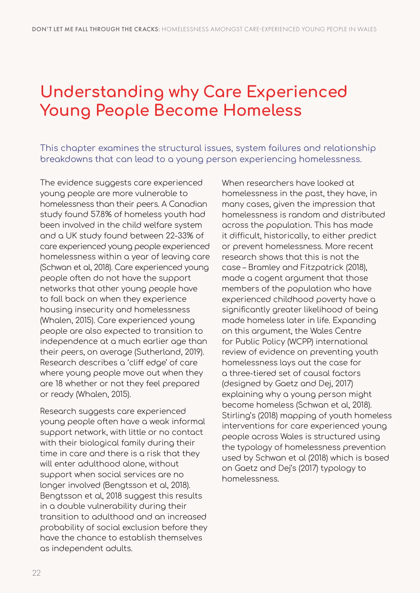## **Understanding why Care Experienced Young People Become Homeless**

This chapter examines the structural issues, system failures and relationship breakdowns that can lead to a young person experiencing homelessness.

The evidence suggests care experienced young people are more vulnerable to homelessness than their peers. A Canadian study found 57.8% of homeless youth had been involved in the child welfare system and a UK study found between 22-33% of care experienced young people experienced homelessness within a year of leaving care (Schwan et al, 2018). Care experienced young people often do not have the support networks that other young people have to fall back on when they experience housing insecurity and homelessness (Whalen, 2015). Care experienced young people are also expected to transition to independence at a much earlier age than their peers, on average (Sutherland, 2019). Research describes a 'cliff edge' of care where young people move out when they are 18 whether or not they feel prepared or ready (Whalen, 2015).

Research suggests care experienced young people often have a weak informal support network, with little or no contact with their biological family during their time in care and there is a risk that they will enter adulthood alone, without support when social services are no longer involved (Bengtsson et al, 2018). Bengtsson et al, 2018 suggest this results in a double vulnerability during their transition to adulthood and an increased probability of social exclusion before they have the chance to establish themselves as independent adults.

When researchers have looked at homelessness in the past, they have, in many cases, given the impression that homelessness is random and distributed across the population. This has made it difficult, historically, to either predict or prevent homelessness. More recent research shows that this is not the case – Bramley and Fitzpatrick (2018), made a cogent argument that those members of the population who have experienced childhood poverty have a significantly greater likelihood of being made homeless later in life. Expanding on this argument, the Wales Centre for Public Policy (WCPP) international review of evidence on preventing youth homelessness lays out the case for a three-tiered set of causal factors (designed by Gaetz and Dej, 2017) explaining why a young person might become homeless (Schwan et al, 2018). Stirling's (2018) mapping of youth homeless interventions for care experienced young people across Wales is structured using the typology of homelessness prevention used by Schwan et al (2018) which is based on Gaetz and Dej's (2017) typology to homelessness.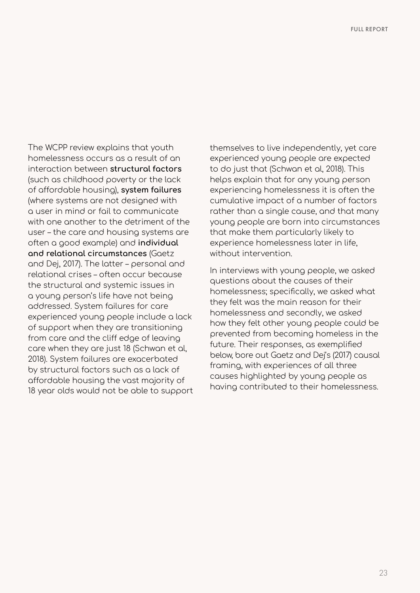The WCPP review explains that youth homelessness occurs as a result of an interaction between **structural factors** (such as childhood poverty or the lack of affordable housing), **system failures** (where systems are not designed with a user in mind or fail to communicate with one another to the detriment of the user – the care and housing systems are often a good example) and **individual and relational circumstances** (Gaetz and Dej, 2017). The latter – personal and relational crises – often occur because the structural and systemic issues in a young person's life have not being addressed. System failures for care experienced young people include a lack of support when they are transitioning from care and the cliff edge of leaving care when they are just 18 (Schwan et al, 2018). System failures are exacerbated by structural factors such as a lack of affordable housing the vast majority of 18 year olds would not be able to support themselves to live independently, yet care experienced young people are expected to do just that (Schwan et al, 2018). This helps explain that for any young person experiencing homelessness it is often the cumulative impact of a number of factors rather than a single cause, and that many young people are born into circumstances that make them particularly likely to experience homelessness later in life, without intervention.

In interviews with young people, we asked questions about the causes of their homelessness; specifically, we asked what they felt was the main reason for their homelessness and secondly, we asked how they felt other young people could be prevented from becoming homeless in the future. Their responses, as exemplified below, bore out Gaetz and Dej's (2017) causal framing, with experiences of all three causes highlighted by young people as having contributed to their homelessness.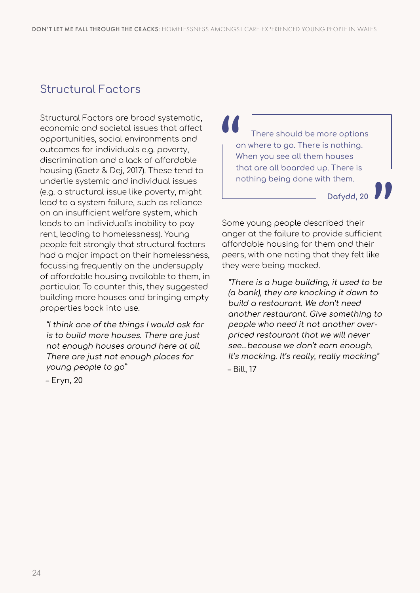## Structural Factors

Structural Factors are broad systematic, economic and societal issues that affect opportunities, social environments and outcomes for individuals e.g. poverty, discrimination and a lack of affordable housing (Gaetz & Dej, 2017). These tend to underlie systemic and individual issues (e.g. a structural issue like poverty, might lead to a system failure, such as reliance on an insufficient welfare system, which leads to an individual's inability to pay rent, leading to homelessness). Young people felt strongly that structural factors had a major impact on their homelessness, focussing frequently on the undersupply of affordable housing available to them, in particular. To counter this, they suggested building more houses and bringing empty properties back into use.

"I think one of the things I would ask for is to build more houses. There are just not enough houses around here at all. There are just not enough places for young people to go"

There should be more options on where to go. There is nothing. When you see all them houses that are all boarded up. There is nothing being done with them.

**Dafydd, 20**

Some young people described their anger at the failure to provide sufficient affordable housing for them and their peers, with one noting that they felt like they were being mocked.

"There is a huge building, it used to be (a bank), they are knocking it down to build a restaurant. We don't need another restaurant. Give something to people who need it not another overpriced restaurant that we will never see…because we don't earn enough. It's mocking. It's really, really mocking" – Bill, 17

– Eryn, 20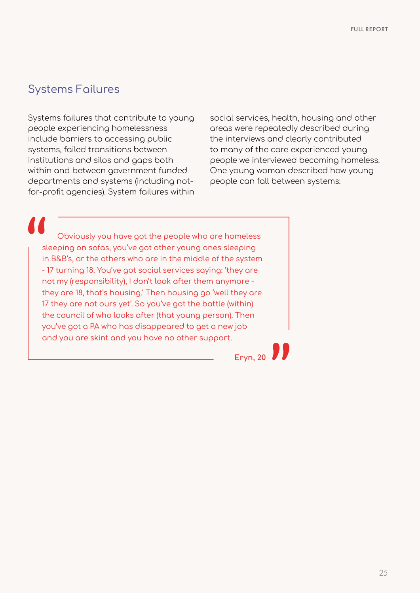## Systems Failures

Systems failures that contribute to young people experiencing homelessness include barriers to accessing public systems, failed transitions between institutions and silos and gaps both within and between government funded departments and systems (including notfor-profit agencies). System failures within

social services, health, housing and other areas were repeatedly described during the interviews and clearly contributed to many of the care experienced young people we interviewed becoming homeless. One young woman described how young people can fall between systems:

Obviously you have got the people who are homeless sleeping on sofas, you've got other young ones sleeping in B&B's, or the others who are in the middle of the system - 17 turning 18. You've got social services saying: 'they are not my (responsibility), I don't look after them anymore they are 18, that's housing.' Then housing go 'well they are 17 they are not ours yet'. So you've got the battle (within) the council of who looks after (that young person). Then you've got a PA who has disappeared to get a new job and you are skint and you have no other support.

**Eryn, 20**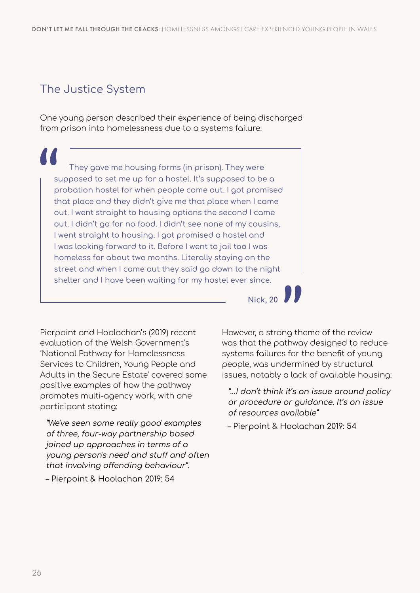## The Justice System

One young person described their experience of being discharged from prison into homelessness due to a systems failure:

They gave me housing forms (in prison). They were supposed to set me up for a hostel. It's supposed to be a probation hostel for when people come out. I got promised that place and they didn't give me that place when I came out. I went straight to housing options the second I came out. I didn't go for no food. I didn't see none of my cousins, I went straight to housing. I got promised a hostel and I was looking forward to it. Before I went to jail too I was homeless for about two months. Literally staying on the street and when I came out they said go down to the night shelter and I have been waiting for my hostel ever since.

Pierpoint and Hoolachan's (2019) recent evaluation of the Welsh Government's 'National Pathway for Homelessness Services to Children, Young People and Adults in the Secure Estate' covered some positive examples of how the pathway promotes multi-agency work, with one participant stating:

"We've seen some really good examples of three, four-way partnership based joined up approaches in terms of a young person's need and stuff and often that involving offending behaviour". – Pierpoint & Hoolachan 2019: 54

However, a strong theme of the review was that the pathway designed to reduce systems failures for the benefit of young people, was undermined by structural issues, notably a lack of available housing:

**Nick, 20**

"…I don't think it's an issue around policy or procedure or guidance. It's an issue of resources available"

– Pierpoint & Hoolachan 2019: 54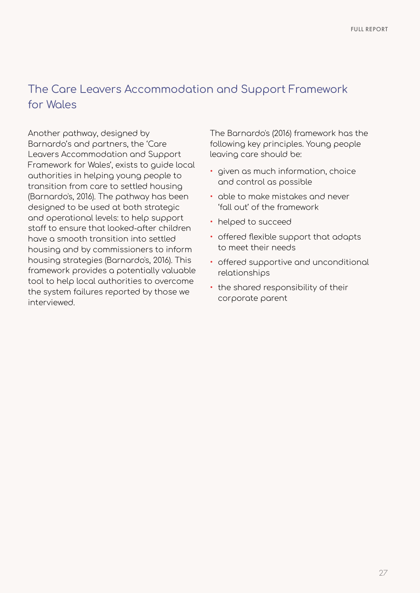## The Care Leavers Accommodation and Support Framework for Wales

Another pathway, designed by Barnardo's and partners, the 'Care Leavers Accommodation and Support Framework for Wales', exists to guide local authorities in helping young people to transition from care to settled housing (Barnardo's, 2016). The pathway has been designed to be used at both strategic and operational levels: to help support staff to ensure that looked-after children have a smooth transition into settled housing and by commissioners to inform housing strategies (Barnardo's, 2016). This framework provides a potentially valuable tool to help local authorities to overcome the system failures reported by those we interviewed.

The Barnardo's (2016) framework has the following key principles. Young people leaving care should be:

- given as much information, choice and control as possible
- able to make mistakes and never 'fall out' of the framework
- helped to succeed
- offered flexible support that adapts to meet their needs
- offered supportive and unconditional relationships
- the shared responsibility of their corporate parent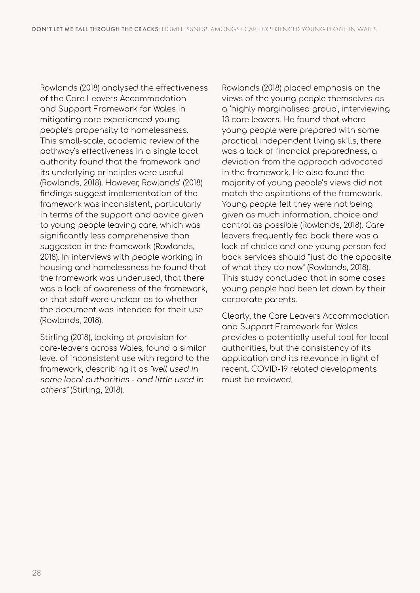Rowlands (2018) analysed the effectiveness of the Care Leavers Accommodation and Support Framework for Wales in mitigating care experienced young people's propensity to homelessness. This small-scale, academic review of the pathway's effectiveness in a single local authority found that the framework and its underlying principles were useful (Rowlands, 2018). However, Rowlands' (2018) findings suggest implementation of the framework was inconsistent, particularly in terms of the support and advice given to young people leaving care, which was significantly less comprehensive than suggested in the framework (Rowlands, 2018). In interviews with people working in housing and homelessness he found that the framework was underused, that there was a lack of awareness of the framework, or that staff were unclear as to whether the document was intended for their use (Rowlands, 2018).

Stirling (2018), looking at provision for care-leavers across Wales, found a similar level of inconsistent use with regard to the framework, describing it as "well used in some local authorities - and little used in others" (Stirling, 2018).

Rowlands (2018) placed emphasis on the views of the young people themselves as a 'highly marginalised group', interviewing 13 care leavers. He found that where young people were prepared with some practical independent living skills, there was a lack of financial preparedness, a deviation from the approach advocated in the framework. He also found the majority of young people's views did not match the aspirations of the framework. Young people felt they were not being given as much information, choice and control as possible (Rowlands, 2018). Care leavers frequently fed back there was a lack of choice and one young person fed back services should "just do the opposite of what they do now" (Rowlands, 2018). This study concluded that in some cases young people had been let down by their corporate parents.

Clearly, the Care Leavers Accommodation and Support Framework for Wales provides a potentially useful tool for local authorities, but the consistency of its application and its relevance in light of recent, COVID-19 related developments must be reviewed.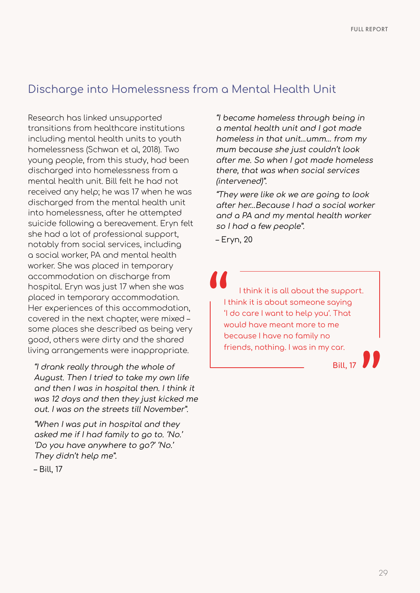### Discharge into Homelessness from a Mental Health Unit

Research has linked unsupported transitions from healthcare institutions including mental health units to youth homelessness (Schwan et al, 2018). Two young people, from this study, had been discharged into homelessness from a mental health unit. Bill felt he had not received any help; he was 17 when he was discharged from the mental health unit into homelessness, after he attempted suicide following a bereavement. Eryn felt she had a lot of professional support, notably from social services, including a social worker, PA and mental health worker. She was placed in temporary accommodation on discharge from hospital. Eryn was just 17 when she was placed in temporary accommodation. Her experiences of this accommodation, covered in the next chapter, were mixed – some places she described as being very good, others were dirty and the shared living arrangements were inappropriate.

"I drank really through the whole of August. Then I tried to take my own life and then I was in hospital then. I think it was 12 days and then they just kicked me out. I was on the streets till November".

"When I was put in hospital and they asked me if I had family to go to. 'No.' 'Do you have anywhere to go?' 'No.' They didn't help me".

– Bill, 17

"I became homeless through being in a mental health unit and I got made homeless in that unit…umm… from my mum because she just couldn't look after me. So when I got made homeless there, that was when social services (intervened)".

"They were like ok we are going to look after her…Because I had a social worker and a PA and my mental health worker so I had a few people".

– Eryn, 20

I think it is all about the support. I think it is about someone saying 'I do care I want to help you'. That would have meant more to me because I have no family no friends, nothing. I was in my car.

**Bill, 17**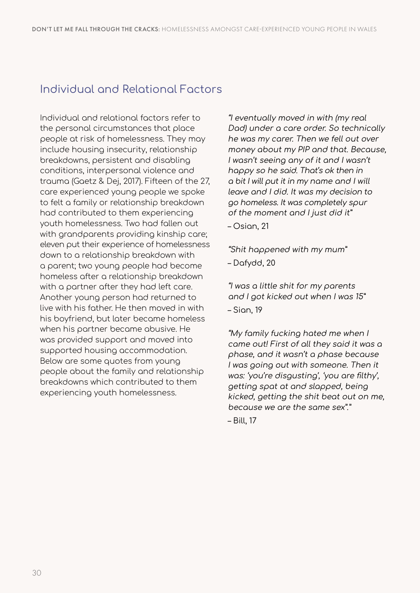## Individual and Relational Factors

Individual and relational factors refer to the personal circumstances that place people at risk of homelessness. They may include housing insecurity, relationship breakdowns, persistent and disabling conditions, interpersonal violence and trauma (Gaetz & Dej, 2017). Fifteen of the 27, care experienced young people we spoke to felt a family or relationship breakdown had contributed to them experiencing youth homelessness. Two had fallen out with grandparents providing kinship care; eleven put their experience of homelessness down to a relationship breakdown with a parent; two young people had become homeless after a relationship breakdown with a partner after they had left care. Another young person had returned to live with his father. He then moved in with his boyfriend, but later became homeless when his partner became abusive. He was provided support and moved into supported housing accommodation. Below are some quotes from young people about the family and relationship breakdowns which contributed to them experiencing youth homelessness.

"I eventually moved in with (my real Dad) under a care order. So technically he was my carer. Then we fell out over money about my PIP and that. Because, I wasn't seeing any of it and I wasn't happy so he said. That's ok then in a bit I will put it in my name and I will leave and I did. It was my decision to go homeless. It was completely spur of the moment and I just did it"

– Osian, 21

"Shit happened with my mum" – Dafydd, 20

"I was a little shit for my parents and I got kicked out when I was 15" – Sian, 19

"My family fucking hated me when I came out! First of all they said it was a phase, and it wasn't a phase because I was going out with someone. Then it was: 'you're disgusting', 'you are filthy', getting spat at and slapped, being kicked, getting the shit beat out on me, because we are the same sex"."

– Bill, 17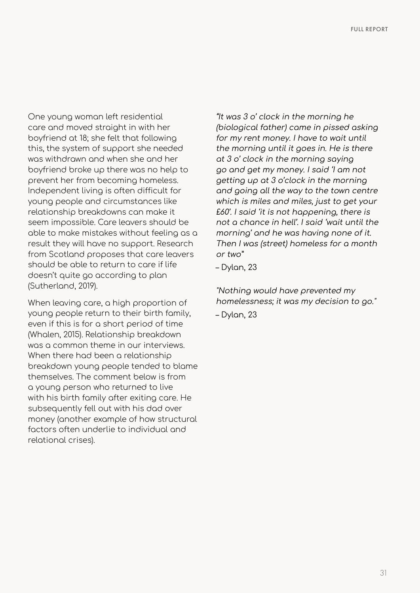One young woman left residential care and moved straight in with her boyfriend at 18; she felt that following this, the system of support she needed was withdrawn and when she and her boyfriend broke up there was no help to prevent her from becoming homeless. Independent living is often difficult for young people and circumstances like relationship breakdowns can make it seem impossible. Care leavers should be able to make mistakes without feeling as a result they will have no support. Research from Scotland proposes that care leavers should be able to return to care if life doesn't quite go according to plan (Sutherland, 2019).

When leaving care, a high proportion of young people return to their birth family, even if this is for a short period of time (Whalen, 2015). Relationship breakdown was a common theme in our interviews. When there had been a relationship breakdown young people tended to blame themselves. The comment below is from a young person who returned to live with his birth family after exiting care. He subsequently fell out with his dad over money (another example of how structural factors often underlie to individual and relational crises).

"It was 3 o' clock in the morning he (biological father) came in pissed asking for my rent money. I have to wait until the morning until it goes in. He is there at 3 o' clock in the morning saying go and get my money. I said 'I am not getting up at 3 o'clock in the morning and going all the way to the town centre which is miles and miles, just to get your £60'. I said 'it is not happening, there is not a chance in hell'. I said 'wait until the morning' and he was having none of it. Then I was (street) homeless for a month or two"

– Dylan, 23

"Nothing would have prevented my homelessness; it was my decision to go." – Dylan, 23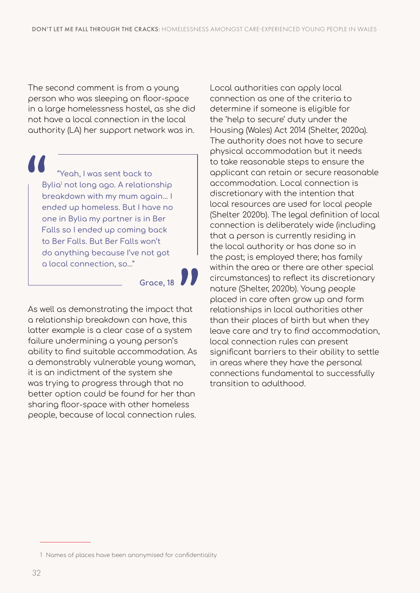The second comment is from a young person who was sleeping on floor-space in a large homelessness hostel, as she did not have a local connection in the local authority (LA) her support network was in.

"Yeah, I was sent back to Bylia<sup>1</sup> not long ago. A relationship breakdown with my mum again… I ended up homeless. But I have no one in Bylia my partner is in Ber Falls so I ended up coming back to Ber Falls. But Ber Falls won't do anything because I've not got a local connection, so…"

**Grace, 18**

As well as demonstrating the impact that a relationship breakdown can have, this latter example is a clear case of a system failure undermining a young person's ability to find suitable accommodation. As a demonstrably vulnerable young woman, it is an indictment of the system she was trying to progress through that no better option could be found for her than sharing floor-space with other homeless people, because of local connection rules.

Local authorities can apply local connection as one of the criteria to determine if someone is eligible for the 'help to secure' duty under the Housing (Wales) Act 2014 (Shelter, 2020a). The authority does not have to secure physical accommodation but it needs to take reasonable steps to ensure the applicant can retain or secure reasonable accommodation. Local connection is discretionary with the intention that local resources are used for local people (Shelter 2020b). The legal definition of local connection is deliberately wide (including that a person is currently residing in the local authority or has done so in the past; is employed there; has family within the area or there are other special circumstances) to reflect its discretionary nature (Shelter, 2020b). Young people placed in care often grow up and form relationships in local authorities other than their places of birth but when they leave care and try to find accommodation, local connection rules can present significant barriers to their ability to settle in areas where they have the personal connections fundamental to successfully transition to adulthood.

<sup>1</sup> Names of places have been anonymised for confidentiality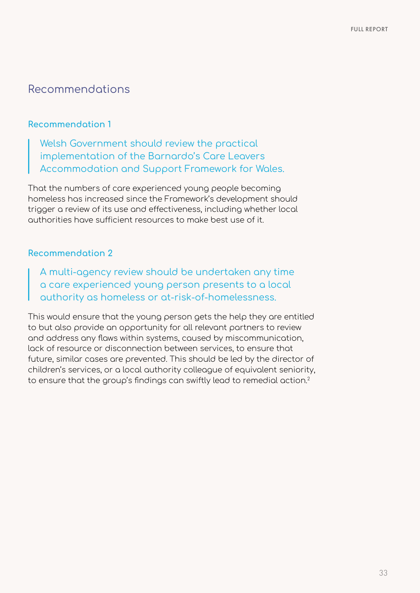### **Recommendation 1**

Welsh Government should review the practical implementation of the Barnardo's Care Leavers Accommodation and Support Framework for Wales.

That the numbers of care experienced young people becoming homeless has increased since the Framework's development should trigger a review of its use and effectiveness, including whether local authorities have sufficient resources to make best use of it.

### **Recommendation 2**

A multi-agency review should be undertaken any time a care experienced young person presents to a local authority as homeless or at-risk-of-homelessness.

This would ensure that the young person gets the help they are entitled to but also provide an opportunity for all relevant partners to review and address any flaws within systems, caused by miscommunication, lack of resource or disconnection between services, to ensure that future, similar cases are prevented. This should be led by the director of children's services, or a local authority colleague of equivalent seniority, to ensure that the group's findings can swiftly lead to remedial action.2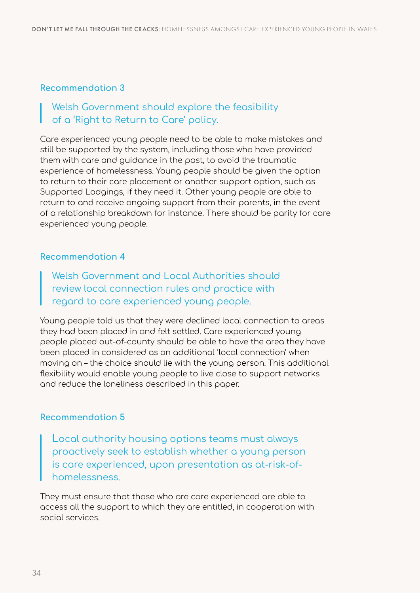### Welsh Government should explore the feasibility of a 'Right to Return to Care' policy.

Care experienced young people need to be able to make mistakes and still be supported by the system, including those who have provided them with care and guidance in the past, to avoid the traumatic experience of homelessness. Young people should be given the option to return to their care placement or another support option, such as Supported Lodgings, if they need it. Other young people are able to return to and receive ongoing support from their parents, in the event of a relationship breakdown for instance. There should be parity for care experienced young people.

#### **Recommendation 4**

Welsh Government and Local Authorities should review local connection rules and practice with regard to care experienced young people.

Young people told us that they were declined local connection to areas they had been placed in and felt settled. Care experienced young people placed out-of-county should be able to have the area they have been placed in considered as an additional 'local connection' when moving on – the choice should lie with the young person. This additional flexibility would enable young people to live close to support networks and reduce the loneliness described in this paper.

#### **Recommendation 5**

Local authority housing options teams must always proactively seek to establish whether a young person is care experienced, upon presentation as at-risk-ofhomelessness.

They must ensure that those who are care experienced are able to access all the support to which they are entitled, in cooperation with social services.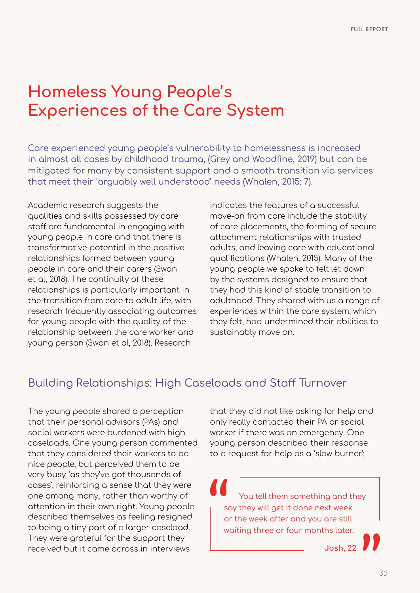## **Homeless Young People's Experiences of the Care System**

Care experienced young people's vulnerability to homelessness is increased in almost all cases by childhood trauma, (Grey and Woodfine, 2019) but can be mitigated for many by consistent support and a smooth transition via services that meet their 'arguably well understood' needs (Whalen, 2015: 7).

Academic research suggests the qualities and skills possessed by care staff are fundamental in engaging with young people in care and that there is transformative potential in the positive relationships formed between young people in care and their carers (Swan et al, 2018). The continuity of these relationships is particularly important in the transition from care to adult life, with research frequently associating outcomes for young people with the quality of the relationship between the care worker and young person (Swan et al, 2018). Research

indicates the features of a successful move-on from care include the stability of care placements, the forming of secure attachment relationships with trusted adults, and leaving care with educational qualifications (Whalen, 2015). Many of the young people we spoke to felt let down by the systems designed to ensure that they had this kind of stable transition to adulthood. They shared with us a range of experiences within the care system, which they felt, had undermined their abilities to sustainably move on.

## Building Relationships: High Caseloads and Staff Turnover

The young people shared a perception that their personal advisors (PAs) and social workers were burdened with high caseloads. One young person commented that they considered their workers to be nice people, but perceived them to be very busy 'as they've got thousands of cases', reinforcing a sense that they were one among many, rather than worthy of attention in their own right. Young people described themselves as feeling resigned to being a tiny part of a larger caseload. They were grateful for the support they received but it came across in interviews

that they did not like asking for help and only really contacted their PA or social worker if there was an emergency. One young person described their response to a request for help as a 'slow burner':

You tell them something and they say they will get it done next week or the week after and you are still waiting three or four months later.

**Josh, 22**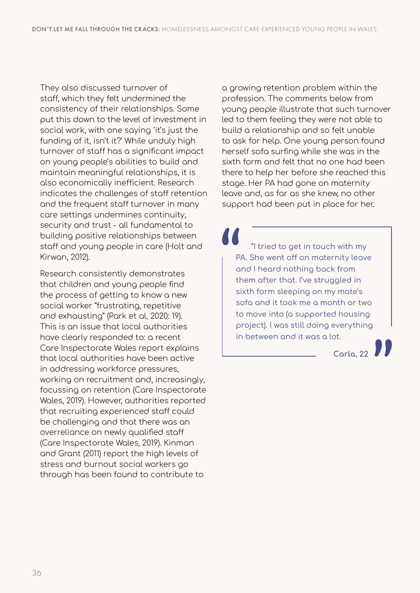They also discussed turnover of staff, which they felt undermined the consistency of their relationships. Some put this down to the level of investment in social work, with one saying 'it's just the funding of it, isn't it?' While unduly high turnover of staff has a significant impact on young people's abilities to build and maintain meaningful relationships, it is also economically inefficient. Research indicates the challenges of staff retention and the frequent staff turnover in many care settings undermines continuity, security and trust - all fundamental to building positive relationships between staff and young people in care (Holt and Kirwan, 2012).

Research consistently demonstrates that children and young people find the process of getting to know a new social worker "frustrating, repetitive and exhausting" (Park et al, 2020: 19). This is an issue that local authorities have clearly responded to: a recent Care Inspectorate Wales report explains that local authorities have been active in addressing workforce pressures, working on recruitment and, increasingly, focussing on retention (Care Inspectorate Wales, 2019). However, authorities reported that recruiting experienced staff could be challenging and that there was an overreliance on newly qualified staff (Care Inspectorate Wales, 2019). Kinman and Grant (2011) report the high levels of stress and burnout social workers go through has been found to contribute to

a growing retention problem within the profession. The comments below from young people illustrate that such turnover led to them feeling they were not able to build a relationship and so felt unable to ask for help. One young person found herself sofa surfing while she was in the sixth form and felt that no one had been there to help her before she reached this stage. Her PA had gone on maternity leave and, as far as she knew, no other support had been put in place for her.

"I tried to get in touch with my PA. She went off on maternity leave and I heard nothing back from them after that. I've struggled in sixth form sleeping on my mate's sofa and it took me a month or two to move into (a supported housing project). I was still doing everything in between and it was a lot.

**Carla, 22**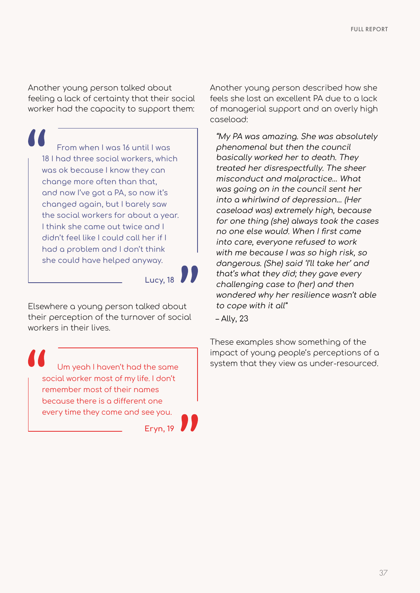Another young person talked about feeling a lack of certainty that their social worker had the capacity to support them:

From when I was 16 until I was 18 I had three social workers, which was ok because I know they can change more often than that, and now I've got a PA, so now it's changed again, but I barely saw the social workers for about a year. I think she came out twice and I didn't feel like I could call her if I had a problem and I don't think she could have helped anyway.



Elsewhere a young person talked about their perception of the turnover of social workers in their lives.

social worker most of my life. I don't remember most of their names because there is a different one every time they come and see you.

**Eryn, 19**

Another young person described how she feels she lost an excellent PA due to a lack of managerial support and an overly high caseload:

"My PA was amazing. She was absolutely phenomenal but then the council basically worked her to death. They treated her disrespectfully. The sheer misconduct and malpractice… What was going on in the council sent her into a whirlwind of depression… (Her caseload was) extremely high, because for one thing (she) always took the cases no one else would. When I first came into care, everyone refused to work with me because I was so high risk, so dangerous. (She) said 'I'll take her' and that's what they did; they gave every challenging case to (her) and then wondered why her resilience wasn't able to cope with it all"

– Ally, 23

These examples show something of the impact of young people's perceptions of a Um yeah I haven't had the same system that they view as under-resourced.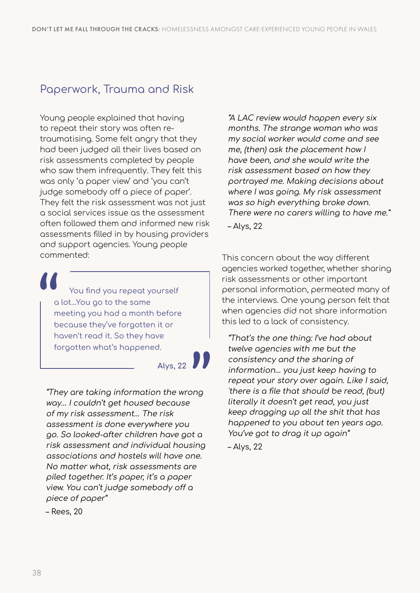# Paperwork, Trauma and Risk

Young people explained that having to repeat their story was often retraumatising. Some felt angry that they had been judged all their lives based on risk assessments completed by people who saw them infrequently. They felt this was only 'a paper view' and 'you can't judge somebody off a piece of paper'. They felt the risk assessment was not just a social services issue as the assessment often followed them and informed new risk assessments filled in by housing providers and support agencies. Young people commented:

You find you repeat yourself a lot…You go to the same meeting you had a month before because they've forgotten it or haven't read it. So they have forgotten what's happened.

**Alys, 22**

"They are taking information the wrong way… I couldn't get housed because of my risk assessment… The risk assessment is done everywhere you go. So looked-after children have got a risk assessment and individual housing associations and hostels will have one. No matter what, risk assessments are piled together. It's paper, it's a paper view. You can't judge somebody off a piece of paper"

– Rees, 20

"A LAC review would happen every six months. The strange woman who was my social worker would come and see me, (then) ask the placement how I have been, and she would write the risk assessment based on how they portrayed me. Making decisions about where I was going. My risk assessment was so high everything broke down. There were no carers willing to have me." – Alys, 22

This concern about the way different agencies worked together, whether sharing risk assessments or other important personal information, permeated many of the interviews. One young person felt that when agencies did not share information this led to a lack of consistency.

"That's the one thing: I've had about twelve agencies with me but the consistency and the sharing of information… you just keep having to repeat your story over again. Like I said, 'there is a file that should be read, (but) literally it doesn't get read, you just keep dragging up all the shit that has happened to you about ten years ago. You've got to drag it up again" – Alys, 22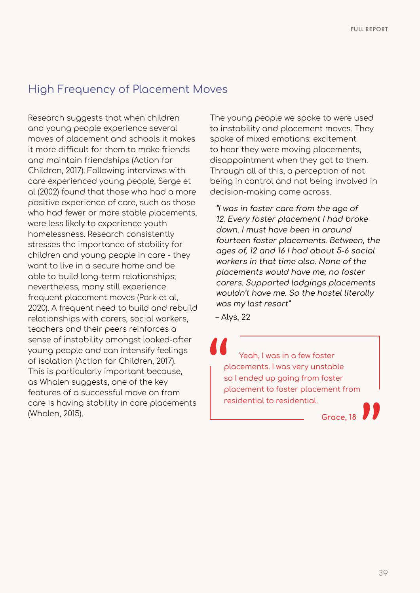### High Frequency of Placement Moves

Research suggests that when children and young people experience several moves of placement and schools it makes it more difficult for them to make friends and maintain friendships (Action for Children, 2017). Following interviews with care experienced young people, Serge et al (2002) found that those who had a more positive experience of care, such as those who had fewer or more stable placements, were less likely to experience youth homelessness. Research consistently stresses the importance of stability for children and young people in care - they want to live in a secure home and be able to build long-term relationships; nevertheless, many still experience frequent placement moves (Park et al, 2020). A frequent need to build and rebuild relationships with carers, social workers, teachers and their peers reinforces a sense of instability amongst looked-after young people and can intensify feelings of isolation (Action for Children, 2017). This is particularly important because, as Whalen suggests, one of the key features of a successful move on from care is having stability in care placements (Whalen, 2015).

The young people we spoke to were used to instability and placement moves. They spoke of mixed emotions: excitement to hear they were moving placements, disappointment when they got to them. Through all of this, a perception of not being in control and not being involved in decision-making came across.

"I was in foster care from the age of 12. Every foster placement I had broke down. I must have been in around fourteen foster placements. Between, the ages of, 12 and 16 I had about 5-6 social workers in that time also. None of the placements would have me, no foster carers. Supported lodgings placements wouldn't have me. So the hostel literally was my last resort"

– Alys, 22

Yeah, I was in a few foster placements. I was very unstable so I ended up going from foster placement to foster placement from residential to residential.

**Grace, 18**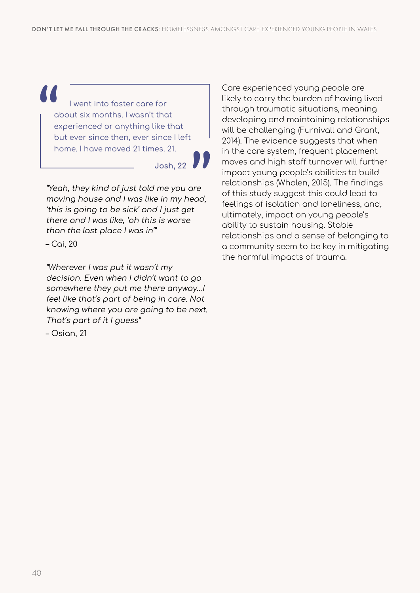I went into foster care for about six months. I wasn't that experienced or anything like that but ever since then, ever since I left home. I have moved 21 times. 21.

**Josh, 22**

"Yeah, they kind of just told me you are moving house and I was like in my head, 'this is going to be sick' and I just get there and I was like, 'oh this is worse than the last place I was in'"

– Cai, 20

"Wherever I was put it wasn't my decision. Even when I didn't want to go somewhere they put me there anyway…I feel like that's part of being in care. Not knowing where you are going to be next. That's part of it I guess"

– Osian, 21

Care experienced young people are likely to carry the burden of having lived through traumatic situations, meaning developing and maintaining relationships will be challenging (Furnivall and Grant, 2014). The evidence suggests that when in the care system, frequent placement moves and high staff turnover will further impact young people's abilities to build relationships (Whalen, 2015). The findings of this study suggest this could lead to feelings of isolation and loneliness, and, ultimately, impact on young people's ability to sustain housing. Stable relationships and a sense of belonging to a community seem to be key in mitigating the harmful impacts of trauma.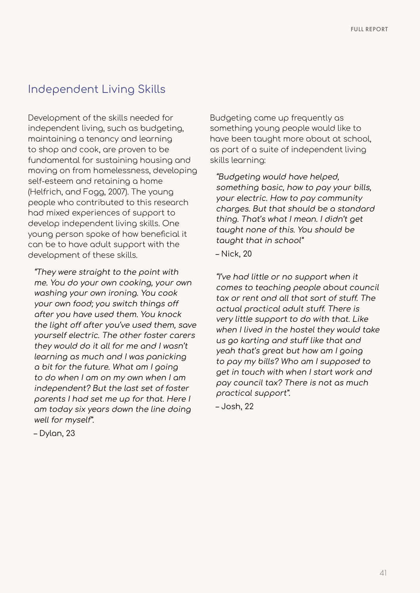## Independent Living Skills

Development of the skills needed for independent living, such as budgeting, maintaining a tenancy and learning to shop and cook, are proven to be fundamental for sustaining housing and moving on from homelessness, developing self-esteem and retaining a home (Helfrich, and Fogg, 2007). The young people who contributed to this research had mixed experiences of support to develop independent living skills. One young person spoke of how beneficial it can be to have adult support with the development of these skills.

"They were straight to the point with me. You do your own cooking, your own washing your own ironing. You cook your own food; you switch things off after you have used them. You knock the light off after you've used them, save yourself electric. The other foster carers they would do it all for me and I wasn't learning as much and I was panicking a bit for the future. What am I going to do when I am on my own when I am independent? But the last set of foster parents I had set me up for that. Here I am today six years down the line doing well for myself".

Budgeting came up frequently as something young people would like to have been taught more about at school, as part of a suite of independent living skills learning:

"Budgeting would have helped, something basic, how to pay your bills, your electric. How to pay community charges. But that should be a standard thing. That's what I mean. I didn't get taught none of this. You should be taught that in school"

– Nick, 20

"I've had little or no support when it comes to teaching people about council tax or rent and all that sort of stuff. The actual practical adult stuff. There is very little support to do with that. Like when I lived in the hostel they would take us go karting and stuff like that and yeah that's great but how am I going to pay my bills? Who am I supposed to get in touch with when I start work and pay council tax? There is not as much practical support".

– Josh, 22

– Dylan, 23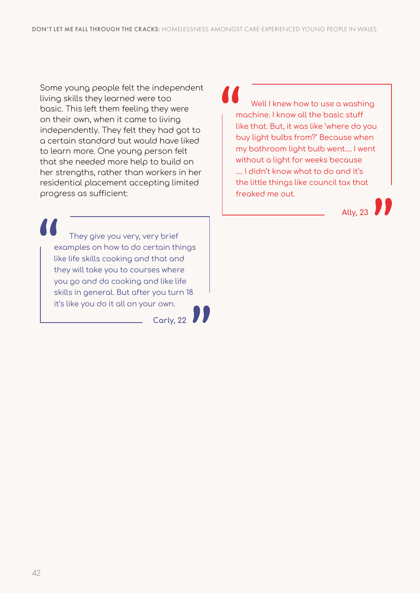Some young people felt the independent living skills they learned were too basic. This left them feeling they were on their own, when it came to living independently. They felt they had got to a certain standard but would have liked to learn more. One young person felt that she needed more help to build on her strengths, rather than workers in her residential placement accepting limited progress as sufficient:

Well I knew how to use a washing machine. I know all the basic stuff like that. But, it was like 'where do you buy light bulbs from?' Because when my bathroom light bulb went…. I went without a light for weeks because …. I didn't know what to do and it's the little things like council tax that freaked me out.

**Ally, 23**

They give you very, very brief examples on how to do certain things like life skills cooking and that and they will take you to courses where you go and do cooking and like life skills in general. But after you turn 18 it's like you do it all on your own.

**Carly, 22**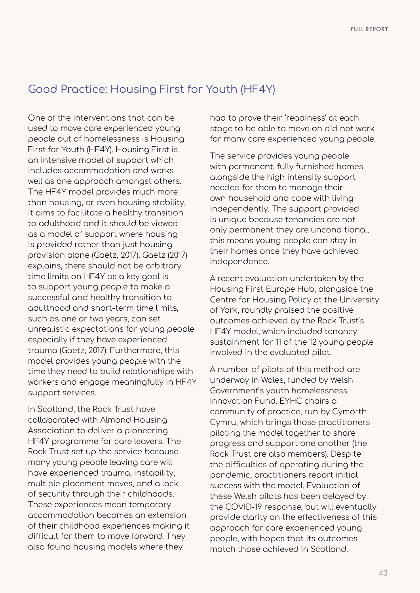## Good Practice: Housing First for Youth (HF4Y)

One of the interventions that can be used to move care experienced young people out of homelessness is Housing First for Youth (HF4Y). Housing First is an intensive model of support which includes accommodation and works well as one approach amongst others. The HF4Y model provides much more than housing, or even housing stability, it aims to facilitate a healthy transition to adulthood and it should be viewed as a model of support where housing is provided rather than just housing provision alone (Gaetz, 2017). Gaetz (2017) explains, there should not be arbitrary time limits on HF4Y as a key goal is to support young people to make a successful and healthy transition to adulthood and short-term time limits, such as one or two years, can set unrealistic expectations for young people especially if they have experienced trauma (Gaetz, 2017). Furthermore, this model provides young people with the time they need to build relationships with workers and engage meaningfully in HF4Y support services.

In Scotland, the Rock Trust have collaborated with Almond Housing Association to deliver a pioneering HF4Y programme for care leavers. The Rock Trust set up the service because many young people leaving care will have experienced trauma, instability, multiple placement moves, and a lack of security through their childhoods. These experiences mean temporary accommodation becomes an extension of their childhood experiences making it difficult for them to move forward. They also found housing models where they

had to prove their 'readiness' at each stage to be able to move on did not work for many care experienced young people.

The service provides young people with permanent, fully furnished homes alongside the high intensity support needed for them to manage their own household and cope with living independently. The support provided is unique because tenancies are not only permanent they are unconditional, this means young people can stay in their homes once they have achieved independence.

A recent evaluation undertaken by the Housing First Europe Hub, alongside the Centre for Housing Policy at the University of York, roundly praised the positive outcomes achieved by the Rock Trust's HF4Y model, which included tenancy sustainment for 11 of the 12 young people involved in the evaluated pilot.

A number of pilots of this method are underway in Wales, funded by Welsh Government's youth homelessness Innovation Fund. EYHC chairs a community of practice, run by Cymorth Cymru, which brings those practitioners piloting the model together to share progress and support one another (the Rock Trust are also members). Despite the difficulties of operating during the pandemic, practitioners report initial success with the model. Evaluation of these Welsh pilots has been delayed by the COVID-19 response, but will eventually provide clarity on the effectiveness of this approach for care experienced young people, with hopes that its outcomes match those achieved in Scotland.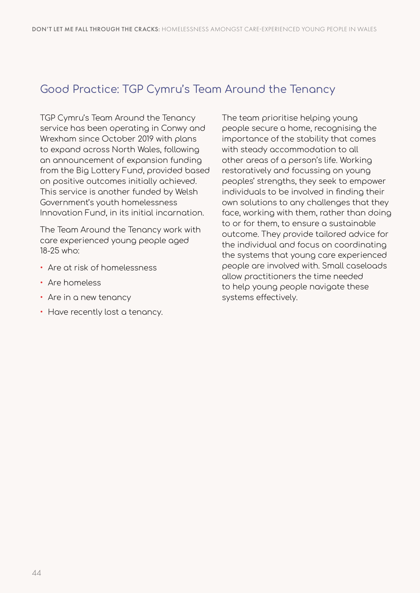## Good Practice: TGP Cymru's Team Around the Tenancy

TGP Cymru's Team Around the Tenancy service has been operating in Conwy and Wrexham since October 2019 with plans to expand across North Wales, following an announcement of expansion funding from the Big Lottery Fund, provided based on positive outcomes initially achieved. This service is another funded by Welsh Government's youth homelessness Innovation Fund, in its initial incarnation.

The Team Around the Tenancy work with care experienced young people aged 18-25 who:

- Are at risk of homelessness
- Are homeless
- Are in a new tenancy
- Have recently lost a tenancy.

The team prioritise helping young people secure a home, recognising the importance of the stability that comes with steady accommodation to all other areas of a person's life. Working restoratively and focussing on young peoples' strengths, they seek to empower individuals to be involved in finding their own solutions to any challenges that they face, working with them, rather than doing to or for them, to ensure a sustainable outcome. They provide tailored advice for the individual and focus on coordinating the systems that young care experienced people are involved with. Small caseloads allow practitioners the time needed to help young people navigate these systems effectively.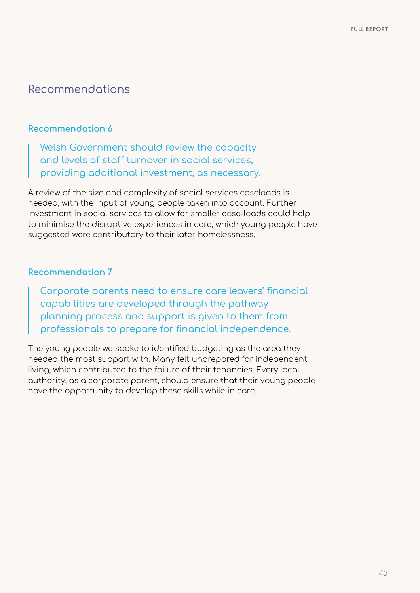#### Recommendations

#### **Recommendation 6**

Welsh Government should review the capacity and levels of staff turnover in social services, providing additional investment, as necessary.

A review of the size and complexity of social services caseloads is needed, with the input of young people taken into account. Further investment in social services to allow for smaller case-loads could help to minimise the disruptive experiences in care, which young people have suggested were contributory to their later homelessness.

#### **Recommendation 7**

Corporate parents need to ensure care leavers' financial capabilities are developed through the pathway planning process and support is given to them from professionals to prepare for financial independence.

The young people we spoke to identified budgeting as the area they needed the most support with. Many felt unprepared for independent living, which contributed to the failure of their tenancies. Every local authority, as a corporate parent, should ensure that their young people have the opportunity to develop these skills while in care.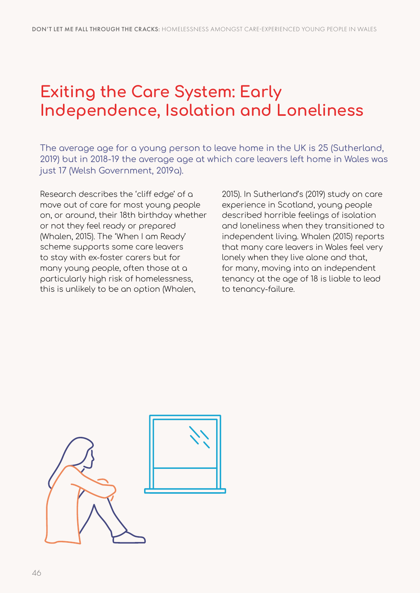# **Exiting the Care System: Early Independence, Isolation and Loneliness**

The average age for a young person to leave home in the UK is 25 (Sutherland, 2019) but in 2018-19 the average age at which care leavers left home in Wales was just 17 (Welsh Government, 2019a).

Research describes the 'cliff edge' of a move out of care for most young people on, or around, their 18th birthday whether or not they feel ready or prepared (Whalen, 2015). The 'When I am Ready' scheme supports some care leavers to stay with ex-foster carers but for many young people, often those at a particularly high risk of homelessness, this is unlikely to be an option (Whalen,

2015). In Sutherland's (2019) study on care experience in Scotland, young people described horrible feelings of isolation and loneliness when they transitioned to independent living. Whalen (2015) reports that many care leavers in Wales feel very lonely when they live alone and that, for many, moving into an independent tenancy at the age of 18 is liable to lead to tenancy-failure.

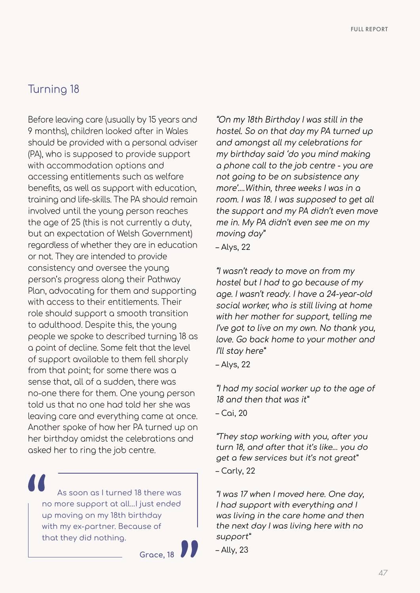## Turning 18

Before leaving care (usually by 15 years and 9 months), children looked after in Wales should be provided with a personal adviser (PA), who is supposed to provide support with accommodation options and accessing entitlements such as welfare benefits, as well as support with education, training and life-skills. The PA should remain involved until the young person reaches the age of 25 (this is not currently a duty, but an expectation of Welsh Government) regardless of whether they are in education or not. They are intended to provide consistency and oversee the young person's progress along their Pathway Plan, advocating for them and supporting with access to their entitlements. Their role should support a smooth transition to adulthood. Despite this, the young people we spoke to described turning 18 as a point of decline. Some felt that the level of support available to them fell sharply from that point; for some there was a sense that, all of a sudden, there was no-one there for them. One young person told us that no one had told her she was leaving care and everything came at once. Another spoke of how her PA turned up on her birthday amidst the celebrations and asked her to ring the job centre.

As soon as I turned 18 there was no more support at all…I just ended up moving on my 18th birthday with my ex-partner. Because of that they did nothing.



"On my 18th Birthday I was still in the hostel. So on that day my PA turned up and amongst all my celebrations for my birthday said 'do you mind making a phone call to the job centre - you are not going to be on subsistence any more'.…Within, three weeks I was in a room. I was 18. I was supposed to get all the support and my PA didn't even move me in. My PA didn't even see me on my moving day"

– Alys, 22

"I wasn't ready to move on from my hostel but I had to go because of my age. I wasn't ready. I have a 24-year-old social worker, who is still living at home with her mother for support, telling me I've got to live on my own. No thank you, love. Go back home to your mother and I'll stay here"

– Alys, 22

"I had my social worker up to the age of 18 and then that was it" – Cai, 20

"They stop working with you, after you turn 18, and after that it's like… you do get a few services but it's not great"

– Carly, 22

"I was 17 when I moved here. One day, I had support with everything and I was living in the care home and then the next day I was living here with no support"

– Ally, 23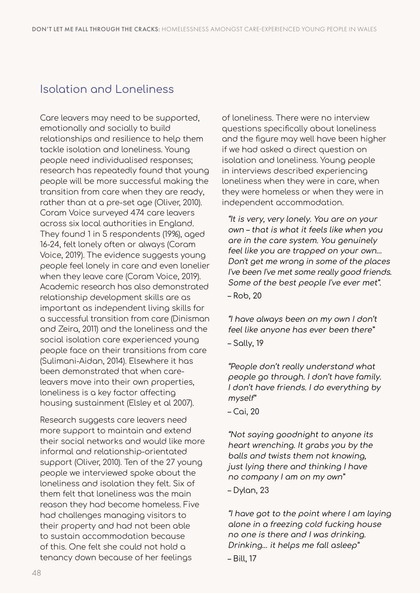## Isolation and Loneliness

Care leavers may need to be supported, emotionally and socially to build relationships and resilience to help them tackle isolation and loneliness. Young people need individualised responses; research has repeatedly found that young people will be more successful making the transition from care when they are ready, rather than at a pre-set age (Oliver, 2010). Coram Voice surveyed 474 care leavers across six local authorities in England. They found 1 in 5 respondents (19%), aged 16-24, felt lonely often or always (Coram Voice, 2019). The evidence suggests young people feel lonely in care and even lonelier when they leave care (Coram Voice, 2019). Academic research has also demonstrated relationship development skills are as important as independent living skills for a successful transition from care (Dinisman and Zeira, 2011) and the loneliness and the social isolation care experienced young people face on their transitions from care (Sulimani-Aidan, 2014). Elsewhere it has been demonstrated that when careleavers move into their own properties, loneliness is a key factor affecting housing sustainment (Elsley et al 2007).

Research suggests care leavers need more support to maintain and extend their social networks and would like more informal and relationship-orientated support (Oliver, 2010). Ten of the 27 young people we interviewed spoke about the loneliness and isolation they felt. Six of them felt that loneliness was the main reason they had become homeless. Five had challenges managing visitors to their property and had not been able to sustain accommodation because of this. One felt she could not hold a tenancy down because of her feelings

of loneliness. There were no interview questions specifically about loneliness and the figure may well have been higher if we had asked a direct question on isolation and loneliness. Young people in interviews described experiencing loneliness when they were in care, when they were homeless or when they were in independent accommodation.

"It is very, very lonely. You are on your own – that is what it feels like when you are in the care system. You genuinely feel like you are trapped on your own… Don't get me wrong in some of the places I've been I've met some really good friends. Some of the best people I've ever met". – Rob, 20

"I have always been on my own I don't feel like anyone has ever been there" – Sally, 19

"People don't really understand what people go through. I don't have family. I don't have friends. I do everything by myself"

– Cai, 20

"Not saying goodnight to anyone its heart wrenching. It grabs you by the balls and twists them not knowing, just lying there and thinking I have no company I am on my own"

– Dylan, 23

"I have got to the point where I am laying alone in a freezing cold fucking house no one is there and I was drinking. Drinking… it helps me fall asleep" – Bill, 17

48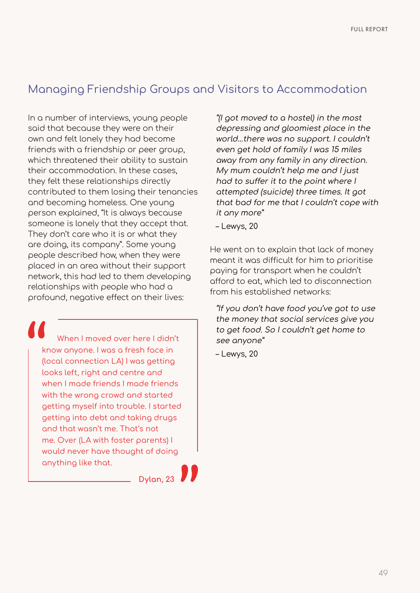### Managing Friendship Groups and Visitors to Accommodation

In a number of interviews, young people said that because they were on their own and felt lonely they had become friends with a friendship or peer group, which threatened their ability to sustain their accommodation. In these cases, they felt these relationships directly contributed to them losing their tenancies and becoming homeless. One young person explained, "It is always because someone is lonely that they accept that. They don't care who it is or what they are doing, its company". Some young people described how, when they were placed in an area without their support network, this had led to them developing relationships with people who had a profound, negative effect on their lives:

When I moved over here I didn't know anyone. I was a fresh face in (local connection LA) I was getting looks left, right and centre and when I made friends I made friends with the wrong crowd and started getting myself into trouble. I started getting into debt and taking drugs and that wasn't me. That's not me. Over (LA with foster parents) I would never have thought of doing anything like that.

**Dylan, 23**

"(I got moved to a hostel) in the most depressing and gloomiest place in the world…there was no support. I couldn't even get hold of family I was 15 miles away from any family in any direction. My mum couldn't help me and I just had to suffer it to the point where I attempted (suicide) three times. It got that bad for me that I couldn't cope with it any more"

– Lewys, 20

He went on to explain that lack of money meant it was difficult for him to prioritise paying for transport when he couldn't afford to eat, which led to disconnection from his established networks:

"If you don't have food you've got to use the money that social services give you to get food. So I couldn't get home to see anyone"

– Lewys, 20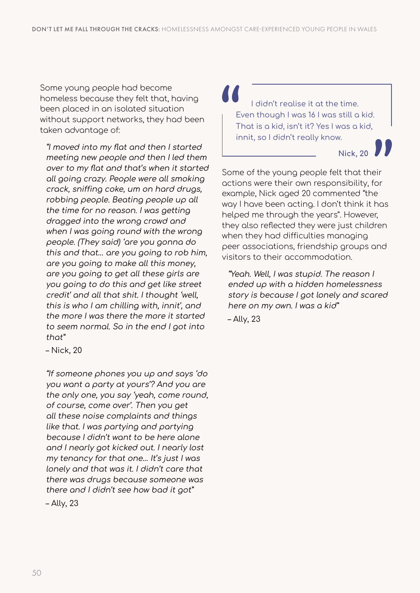Some young people had become homeless because they felt that, having been placed in an isolated situation without support networks, they had been taken advantage of:

"I moved into my flat and then I started meeting new people and then I led them over to my flat and that's when it started all going crazy. People were all smoking crack, sniffing coke, um on hard drugs, robbing people. Beating people up all the time for no reason. I was getting dragged into the wrong crowd and when I was going round with the wrong people. (They said) 'are you gonna do this and that… are you going to rob him, are you going to make all this money, are you going to get all these girls are you going to do this and get like street credit' and all that shit. I thought 'well, this is who I am chilling with, innit', and the more I was there the more it started to seem normal. So in the end I got into that"

– Nick, 20

"If someone phones you up and says 'do you want a party at yours'? And you are the only one, you say 'yeah, come round, of course, come over'. Then you get all these noise complaints and things like that. I was partying and partying because I didn't want to be here alone and I nearly got kicked out. I nearly lost my tenancy for that one… It's just I was lonely and that was it. I didn't care that there was drugs because someone was there and I didn't see how bad it got"

– Ally, 23

I didn't realise it at the time. Even though I was 16 I was still a kid. That is a kid, isn't it? Yes I was a kid, innit, so I didn't really know.

**Nick, 20**

Some of the young people felt that their actions were their own responsibility, for example, Nick aged 20 commented "the way I have been acting. I don't think it has helped me through the years". However, they also reflected they were just children when they had difficulties managing peer associations, friendship groups and visitors to their accommodation.

"Yeah. Well, I was stupid. The reason I ended up with a hidden homelessness story is because I got lonely and scared here on my own. I was a kid" – Ally, 23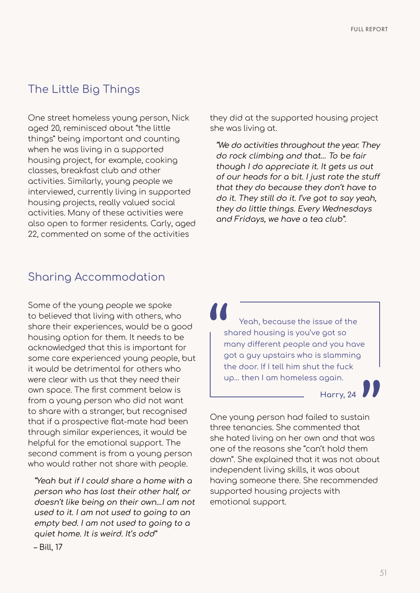# The Little Big Things

One street homeless young person, Nick aged 20, reminisced about "the little things" being important and counting when he was living in a supported housing project, for example, cooking classes, breakfast club and other activities. Similarly, young people we interviewed, currently living in supported housing projects, really valued social activities. Many of these activities were also open to former residents. Carly, aged 22, commented on some of the activities

they did at the supported housing project she was living at.

"We do activities throughout the year. They do rock climbing and that… To be fair though I do appreciate it. It gets us out of our heads for a bit. I just rate the stuff that they do because they don't have to do it. They still do it. I've got to say yeah, they do little things. Every Wednesdays and Fridays, we have a tea club".

## Sharing Accommodation

Some of the young people we spoke to believed that living with others, who share their experiences, would be a good housing option for them. It needs to be acknowledged that this is important for some care experienced young people, but it would be detrimental for others who were clear with us that they need their own space. The first comment below is from a young person who did not want to share with a stranger, but recognised that if a prospective flat-mate had been through similar experiences, it would be helpful for the emotional support. The second comment is from a young person who would rather not share with people.

"Yeah but if I could share a home with a person who has lost their other half, or doesn't like being on their own…I am not used to it. I am not used to going to an empty bed. I am not used to going to a quiet home. It is weird. It's odd" – Bill, 17

Yeah, because the issue of the shared housing is you've got so many different people and you have got a guy upstairs who is slamming the door. If I tell him shut the fuck up… then I am homeless again.

**Harry, 24**

One young person had failed to sustain three tenancies. She commented that she hated living on her own and that was one of the reasons she "can't hold them down". She explained that it was not about independent living skills, it was about having someone there. She recommended supported housing projects with emotional support.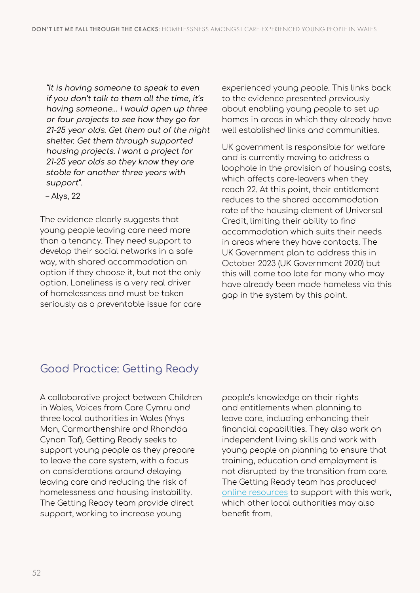"It is having someone to speak to even if you don't talk to them all the time, it's having someone… I would open up three or four projects to see how they go for 21-25 year olds. Get them out of the night shelter. Get them through supported housing projects. I want a project for 21-25 year olds so they know they are stable for another three years with support".

– Alys, 22

The evidence clearly suggests that young people leaving care need more than a tenancy. They need support to develop their social networks in a safe way, with shared accommodation an option if they choose it, but not the only option. Loneliness is a very real driver of homelessness and must be taken seriously as a preventable issue for care experienced young people. This links back to the evidence presented previously about enabling young people to set up homes in areas in which they already have well established links and communities.

UK government is responsible for welfare and is currently moving to address a loophole in the provision of housing costs, which affects care-leavers when they reach 22. At this point, their entitlement reduces to the shared accommodation rate of the housing element of Universal Credit, limiting their ability to find accommodation which suits their needs in areas where they have contacts. The UK Government plan to address this in October 2023 (UK Government 2020) but this will come too late for many who may have already been made homeless via this gap in the system by this point.

# Good Practice: Getting Ready

A collaborative project between Children in Wales, Voices from Care Cymru and three local authorities in Wales (Ynys Mon, Carmarthenshire and Rhondda Cynon Taf), Getting Ready seeks to support young people as they prepare to leave the care system, with a focus on considerations around delaying leaving care and reducing the risk of homelessness and housing instability. The Getting Ready team provide direct support, working to increase young

people's knowledge on their rights and entitlements when planning to leave care, including enhancing their financial capabilities. They also work on independent living skills and work with young people on planning to ensure that training, education and employment is not disrupted by the transition from care. The Getting Ready team has produced [online resources](https://padlet.com/CinWGettingReady/angleseyresources) to support with this work, which other local authorities may also benefit from.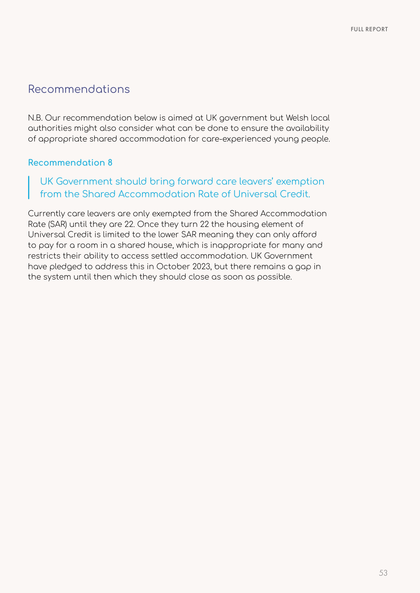### Recommendations

N.B. Our recommendation below is aimed at UK government but Welsh local authorities might also consider what can be done to ensure the availability of appropriate shared accommodation for care-experienced young people.

#### **Recommendation 8**

#### UK Government should bring forward care leavers' exemption from the Shared Accommodation Rate of Universal Credit.

Currently care leavers are only exempted from the Shared Accommodation Rate (SAR) until they are 22. Once they turn 22 the housing element of Universal Credit is limited to the lower SAR meaning they can only afford to pay for a room in a shared house, which is inappropriate for many and restricts their ability to access settled accommodation. UK Government have pledged to address this in October 2023, but there remains a gap in the system until then which they should close as soon as possible.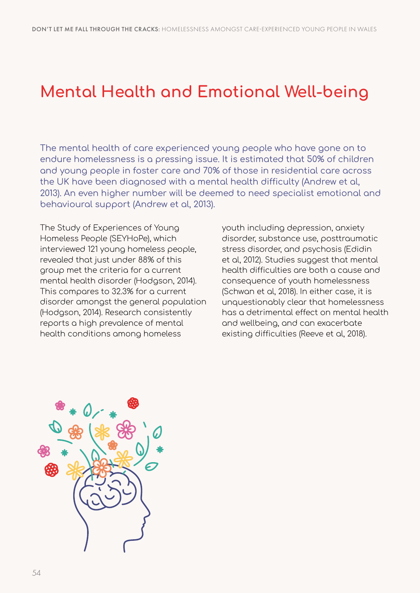# **Mental Health and Emotional Well-being**

The mental health of care experienced young people who have gone on to endure homelessness is a pressing issue. It is estimated that 50% of children and young people in foster care and 70% of those in residential care across the UK have been diagnosed with a mental health difficulty (Andrew et al, 2013). An even higher number will be deemed to need specialist emotional and behavioural support (Andrew et al, 2013).

The Study of Experiences of Young Homeless People (SEYHoPe), which interviewed 121 young homeless people, revealed that just under 88% of this group met the criteria for a current mental health disorder (Hodgson, 2014). This compares to 32.3% for a current disorder amongst the general population (Hodgson, 2014). Research consistently reports a high prevalence of mental health conditions among homeless

youth including depression, anxiety disorder, substance use, posttraumatic stress disorder, and psychosis (Edidin et al, 2012). Studies suggest that mental health difficulties are both a cause and consequence of youth homelessness (Schwan et al, 2018). In either case, it is unquestionably clear that homelessness has a detrimental effect on mental health and wellbeing, and can exacerbate existing difficulties (Reeve et al, 2018).

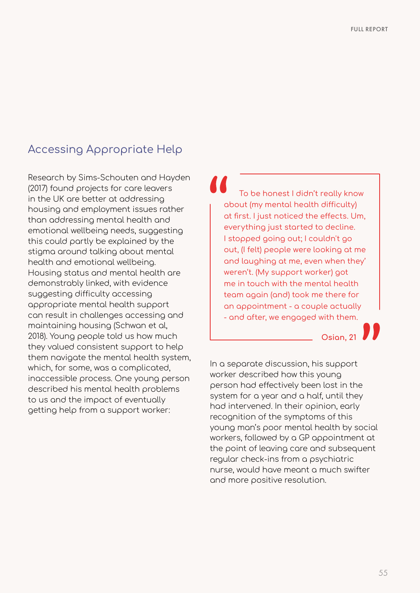## Accessing Appropriate Help

Research by Sims-Schouten and Hayden (2017) found projects for care leavers in the UK are better at addressing housing and employment issues rather than addressing mental health and emotional wellbeing needs, suggesting this could partly be explained by the stigma around talking about mental health and emotional wellbeing. Housing status and mental health are demonstrably linked, with evidence suggesting difficulty accessing appropriate mental health support can result in challenges accessing and maintaining housing (Schwan et al, 2018). Young people told us how much they valued consistent support to help them navigate the mental health system, which, for some, was a complicated, inaccessible process. One young person described his mental health problems to us and the impact of eventually getting help from a support worker:

To be honest I didn't really know about (my mental health difficulty) at first. I just noticed the effects. Um, everything just started to decline. I stopped going out; I couldn't go out, (I felt) people were looking at me and laughing at me, even when they' weren't. (My support worker) got me in touch with the mental health team again (and) took me there for an appointment - a couple actually - and after, we engaged with them.

**Osian, 21**

In a separate discussion, his support worker described how this young person had effectively been lost in the system for a year and a half, until they had intervened. In their opinion, early recognition of the symptoms of this young man's poor mental health by social workers, followed by a GP appointment at the point of leaving care and subsequent regular check-ins from a psychiatric nurse, would have meant a much swifter and more positive resolution.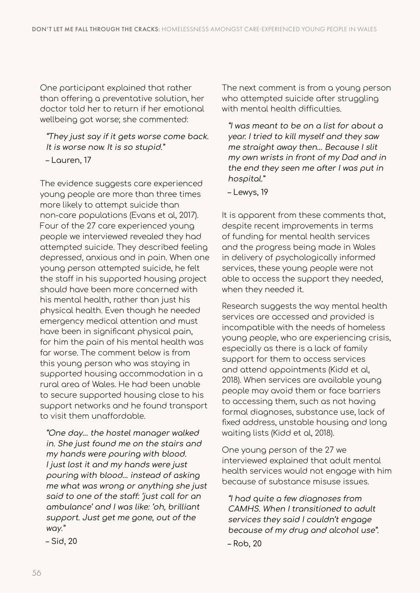One participant explained that rather than offering a preventative solution, her doctor told her to return if her emotional wellbeing got worse; she commented:

"They just say if it gets worse come back. It is worse now. It is so stupid."

– Lauren, 17

The evidence suggests care experienced young people are more than three times more likely to attempt suicide than non-care populations (Evans et al, 2017). Four of the 27 care experienced young people we interviewed revealed they had attempted suicide. They described feeling depressed, anxious and in pain. When one young person attempted suicide, he felt the staff in his supported housing project should have been more concerned with his mental health, rather than just his physical health. Even though he needed emergency medical attention and must have been in significant physical pain. for him the pain of his mental health was far worse. The comment below is from this young person who was staying in supported housing accommodation in a rural area of Wales. He had been unable to secure supported housing close to his support networks and he found transport to visit them unaffordable.

"One day… the hostel manager walked in. She just found me on the stairs and my hands were pouring with blood. I just lost it and my hands were just pouring with blood… instead of asking me what was wrong or anything she just said to one of the staff: 'just call for an ambulance' and I was like: 'oh, brilliant support. Just get me gone, out of the way."

– Sid, 20

The next comment is from a young person who attempted suicide after struggling with mental health difficulties.

"I was meant to be on a list for about a year. I tried to kill myself and they saw me straight away then… Because I slit my own wrists in front of my Dad and in the end they seen me after I was put in hospital."

– Lewys, 19

It is apparent from these comments that, despite recent improvements in terms of funding for mental health services and the progress being made in Wales in delivery of psychologically informed services, these young people were not able to access the support they needed, when they needed it.

Research suggests the way mental health services are accessed and provided is incompatible with the needs of homeless young people, who are experiencing crisis, especially as there is a lack of family support for them to access services and attend appointments (Kidd et al, 2018). When services are available young people may avoid them or face barriers to accessing them, such as not having formal diagnoses, substance use, lack of fixed address, unstable housing and long waiting lists (Kidd et al, 2018).

One young person of the 27 we interviewed explained that adult mental health services would not engage with him because of substance misuse issues.

"I had quite a few diagnoses from CAMHS. When I transitioned to adult services they said I couldn't engage because of my drug and alcohol use". – Rob, 20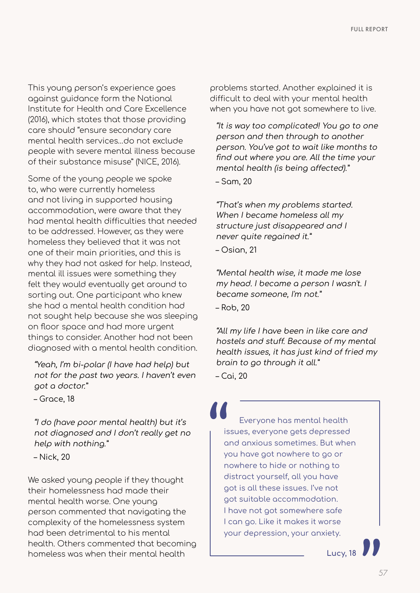This young person's experience goes against guidance form the National Institute for Health and Care Excellence (2016), which states that those providing care should "ensure secondary care mental health services…do not exclude people with severe mental illness because of their substance misuse" (NICE, 2016).

Some of the young people we spoke to, who were currently homeless and not living in supported housing accommodation, were aware that they had mental health difficulties that needed to be addressed. However, as they were homeless they believed that it was not one of their main priorities, and this is why they had not asked for help. Instead, mental ill issues were something they felt they would eventually get around to sorting out. One participant who knew she had a mental health condition had not sought help because she was sleeping on floor space and had more urgent things to consider. Another had not been diagnosed with a mental health condition.

"Yeah, I'm bi-polar (I have had help) but not for the past two years. I haven't even got a doctor."

– Grace, 18

"I do (have poor mental health) but it's not diagnosed and I don't really get no help with nothing."

– Nick, 20

We asked young people if they thought their homelessness had made their mental health worse. One young person commented that navigating the complexity of the homelessness system had been detrimental to his mental health. Others commented that becoming homeless was when their mental health

problems started. Another explained it is difficult to deal with your mental health when you have not got somewhere to live.

"It is way too complicated! You go to one person and then through to another person. You've got to wait like months to find out where you are. All the time your mental health (is being affected)."

– Sam, 20

"That's when my problems started. When I became homeless all my structure just disappeared and I never quite regained it."

– Osian, 21

"Mental health wise, it made me lose my head. I became a person I wasn't. I became someone, I'm not."

– Rob, 20

"All my life I have been in like care and hostels and stuff. Because of my mental health issues, it has just kind of fried my brain to go through it all."

– Cai, 20

Everyone has mental health issues, everyone gets depressed and anxious sometimes. But when you have got nowhere to go or nowhere to hide or nothing to distract yourself, all you have got is all these issues. I've not got suitable accommodation. I have not got somewhere safe I can go. Like it makes it worse your depression, your anxiety.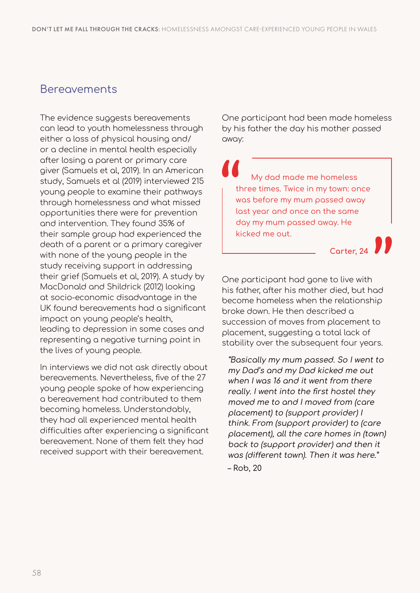### Bereavements

The evidence suggests bereavements can lead to youth homelessness through either a loss of physical housing and/ or a decline in mental health especially after losing a parent or primary care giver (Samuels et al, 2019). In an American study, Samuels et al (2019) interviewed 215 young people to examine their pathways through homelessness and what missed opportunities there were for prevention and intervention. They found 35% of their sample group had experienced the death of a parent or a primary caregiver with none of the young people in the study receiving support in addressing their grief (Samuels et al, 2019). A study by MacDonald and Shildrick (2012) looking at socio-economic disadvantage in the UK found bereavements had a significant impact on young people's health, leading to depression in some cases and representing a negative turning point in the lives of young people.

In interviews we did not ask directly about bereavements. Nevertheless, five of the 27 young people spoke of how experiencing a bereavement had contributed to them becoming homeless. Understandably, they had all experienced mental health difficulties after experiencing a significant bereavement. None of them felt they had received support with their bereavement.

One participant had been made homeless by his father the day his mother passed away:

My dad made me homeless three times. Twice in my town: once was before my mum passed away last year and once on the same day my mum passed away. He kicked me out.

**Carter, 24**

One participant had gone to live with his father, after his mother died, but had become homeless when the relationship broke down. He then described a succession of moves from placement to placement, suggesting a total lack of stability over the subsequent four years.

"Basically my mum passed. So I went to my Dad's and my Dad kicked me out when I was 16 and it went from there really. I went into the first hostel they moved me to and I moved from (care placement) to (support provider) I think. From (support provider) to (care placement), all the care homes in (town) back to (support provider) and then it was (different town). Then it was here."

– Rob, 20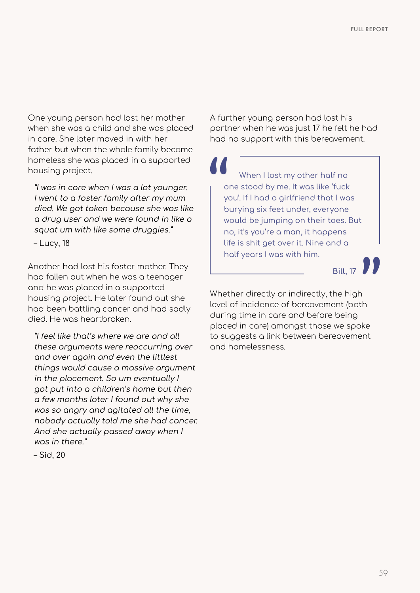One young person had lost her mother when she was a child and she was placed in care. She later moved in with her father but when the whole family became homeless she was placed in a supported housing project.

"I was in care when I was a lot younger. I went to a foster family after my mum died. We got taken because she was like a drug user and we were found in like a squat um with like some druggies."

– Lucy, 18

Another had lost his foster mother. They had fallen out when he was a teenager and he was placed in a supported housing project. He later found out she had been battling cancer and had sadly died. He was heartbroken.

"I feel like that's where we are and all these arguments were reoccurring over and over again and even the littlest things would cause a massive argument in the placement. So um eventually I got put into a children's home but then a few months later I found out why she was so angry and agitated all the time, nobody actually told me she had cancer. And she actually passed away when I was in there."

– Sid, 20

A further young person had lost his partner when he was just 17 he felt he had had no support with this bereavement.

When I lost my other half no one stood by me. It was like 'fuck you'. If I had a girlfriend that I was burying six feet under, everyone would be jumping on their toes. But no, it's you're a man, it happens life is shit get over it. Nine and a half years I was with him.

**Bill, 17**

Whether directly or indirectly, the high level of incidence of bereavement (both during time in care and before being placed in care) amongst those we spoke to suggests a link between bereavement and homelessness.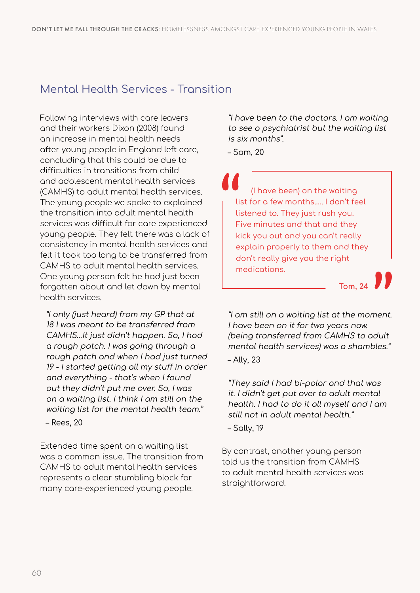## Mental Health Services - Transition

Following interviews with care leavers and their workers Dixon (2008) found an increase in mental health needs after young people in England left care, concluding that this could be due to difficulties in transitions from child and adolescent mental health services (CAMHS) to adult mental health services. The young people we spoke to explained the transition into adult mental health services was difficult for care experienced young people. They felt there was a lack of consistency in mental health services and felt it took too long to be transferred from CAMHS to adult mental health services. One young person felt he had just been forgotten about and let down by mental health services.

"I only (just heard) from my GP that at 18 I was meant to be transferred from CAMHS…It just didn't happen. So, I had a rough patch. I was going through a rough patch and when I had just turned 19 - I started getting all my stuff in order and everything - that's when I found out they didn't put me over. So, I was on a waiting list. I think I am still on the waiting list for the mental health team."

– Rees, 20

Extended time spent on a waiting list was a common issue. The transition from CAMHS to adult mental health services represents a clear stumbling block for many care-experienced young people.

"I have been to the doctors. I am waiting to see a psychiatrist but the waiting list is six months".

– Sam, 20

(I have been) on the waiting list for a few months.…. I don't feel listened to. They just rush you. Five minutes and that and they kick you out and you can't really explain properly to them and they don't really give you the right medications.

**Tom, 24**

"I am still on a waiting list at the moment. I have been on it for two years now. (being transferred from CAMHS to adult mental health services) was a shambles."

– Ally, 23

"They said I had bi-polar and that was it. I didn't get put over to adult mental health. I had to do it all myself and I am still not in adult mental health."

– Sally, 19

By contrast, another young person told us the transition from CAMHS to adult mental health services was straightforward.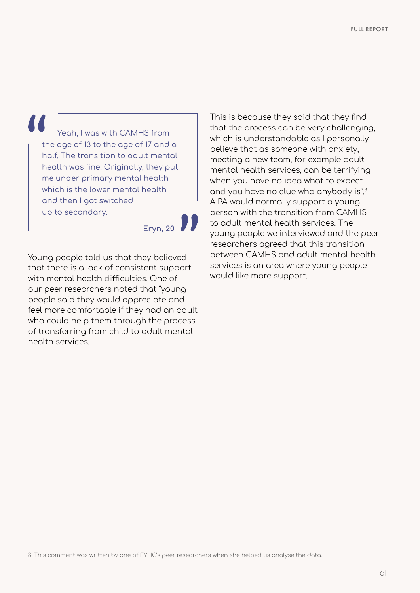Yeah, I was with CAMHS from the age of 13 to the age of 17 and a half. The transition to adult mental health was fine. Originally, they put me under primary mental health which is the lower mental health and then I got switched up to secondary.

**Eryn, 20**

Young people told us that they believed that there is a lack of consistent support with mental health difficulties. One of our peer researchers noted that "young people said they would appreciate and feel more comfortable if they had an adult who could help them through the process of transferring from child to adult mental health services.

This is because they said that they find that the process can be very challenging, which is understandable as I personally believe that as someone with anxiety, meeting a new team, for example adult mental health services, can be terrifying when you have no idea what to expect and you have no clue who anybody is".3 A PA would normally support a young person with the transition from CAMHS to adult mental health services. The young people we interviewed and the peer researchers agreed that this transition between CAMHS and adult mental health services is an area where young people would like more support.

<sup>3</sup> This comment was written by one of EYHC's peer researchers when she helped us analyse the data.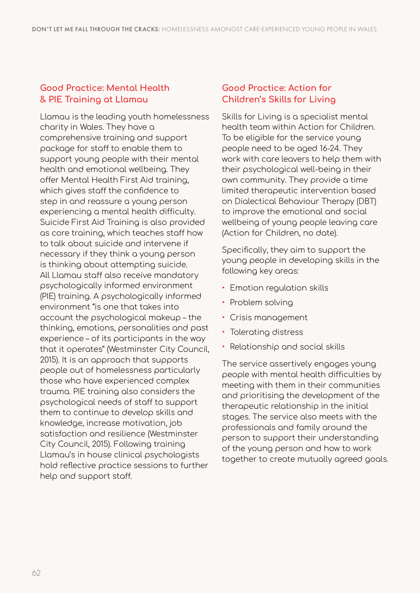#### **Good Practice: Mental Health & PIE Training at Llamau**

Llamau is the leading youth homelessness charity in Wales. They have a comprehensive training and support package for staff to enable them to support young people with their mental health and emotional wellbeing. They offer Mental Health First Aid training, which gives staff the confidence to step in and reassure a young person experiencing a mental health difficulty. Suicide First Aid Training is also provided as core training, which teaches staff how to talk about suicide and intervene if necessary if they think a young person is thinking about attempting suicide. All Llamau staff also receive mandatory psychologically informed environment (PIE) training. A psychologically informed environment "is one that takes into account the psychological makeup – the thinking, emotions, personalities and past experience – of its participants in the way that it operates" (Westminster City Council, 2015). It is an approach that supports people out of homelessness particularly those who have experienced complex trauma. PIE training also considers the psychological needs of staff to support them to continue to develop skills and knowledge, increase motivation, job satisfaction and resilience (Westminster City Council, 2015). Following training Llamau's in house clinical psychologists hold reflective practice sessions to further help and support staff.

#### **Good Practice: Action for Children's Skills for Living**

Skills for Living is a specialist mental health team within Action for Children. To be eligible for the service young people need to be aged 16-24. They work with care leavers to help them with their psychological well-being in their own community. They provide a time limited therapeutic intervention based on Dialectical Behaviour Therapy (DBT) to improve the emotional and social wellbeing of young people leaving care (Action for Children, no date).

Specifically, they aim to support the young people in developing skills in the following key areas:

- Emotion regulation skills
- Problem solving
- Crisis management
- Tolerating distress
- Relationship and social skills

The service assertively engages young people with mental health difficulties by meeting with them in their communities and prioritising the development of the therapeutic relationship in the initial stages. The service also meets with the professionals and family around the person to support their understanding of the young person and how to work together to create mutually agreed goals.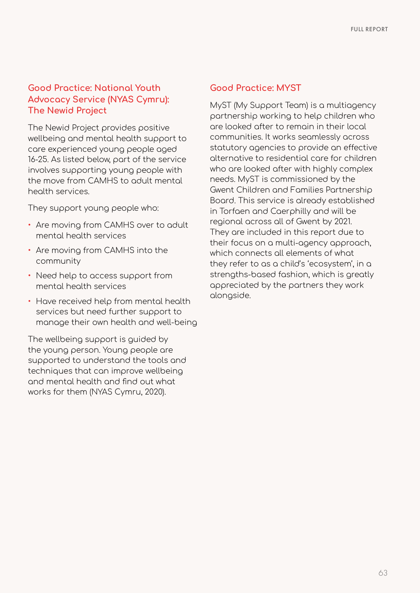#### **Good Practice: National Youth Advocacy Service (NYAS Cymru): The Newid Project**

The Newid Project provides positive wellbeing and mental health support to care experienced young people aged 16-25. As listed below, part of the service involves supporting young people with the move from CAMHS to adult mental health services.

They support young people who:

- Are moving from CAMHS over to adult mental health services
- Are moving from CAMHS into the community
- Need help to access support from mental health services
- Have received help from mental health services but need further support to manage their own health and well-being

The wellbeing support is guided by the young person. Young people are supported to understand the tools and techniques that can improve wellbeing and mental health and find out what works for them (NYAS Cymru, 2020).

#### **Good Practice: MYST**

MyST (My Support Team) is a multiagency partnership working to help children who are looked after to remain in their local communities. It works seamlessly across statutory agencies to provide an effective alternative to residential care for children who are looked after with highly complex needs. MyST is commissioned by the Gwent Children and Families Partnership Board. This service is already established in Torfaen and Caerphilly and will be regional across all of Gwent by 2021. They are included in this report due to their focus on a multi-agency approach, which connects all elements of what they refer to as a child's 'ecosystem', in a strengths-based fashion, which is greatly appreciated by the partners they work alongside.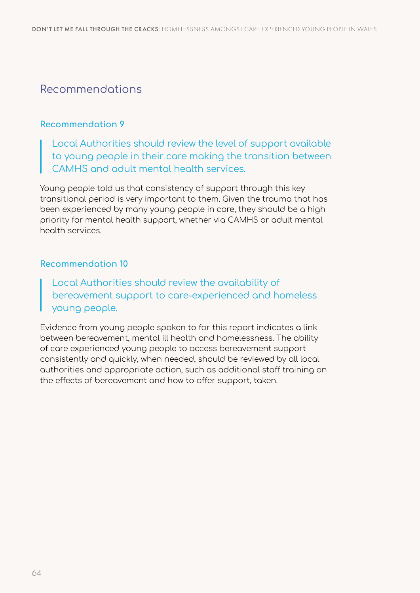### Recommendations

#### **Recommendation 9**

Local Authorities should review the level of support available to young people in their care making the transition between CAMHS and adult mental health services.

Young people told us that consistency of support through this key transitional period is very important to them. Given the trauma that has been experienced by many young people in care, they should be a high priority for mental health support, whether via CAMHS or adult mental health services.

#### **Recommendation 10**

#### Local Authorities should review the availability of bereavement support to care-experienced and homeless young people.

Evidence from young people spoken to for this report indicates a link between bereavement, mental ill health and homelessness. The ability of care experienced young people to access bereavement support consistently and quickly, when needed, should be reviewed by all local authorities and appropriate action, such as additional staff training on the effects of bereavement and how to offer support, taken.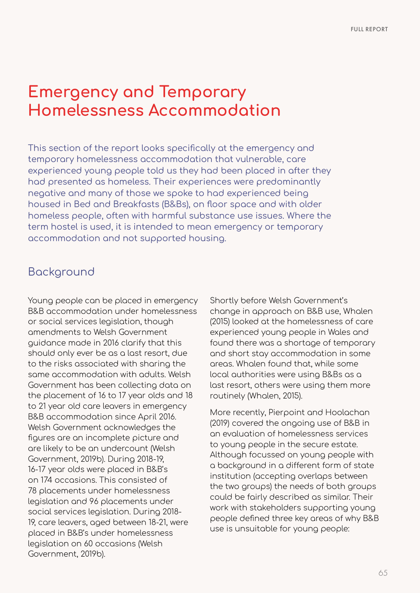# **Emergency and Temporary Homelessness Accommodation**

This section of the report looks specifically at the emergency and temporary homelessness accommodation that vulnerable, care experienced young people told us they had been placed in after they had presented as homeless. Their experiences were predominantly negative and many of those we spoke to had experienced being housed in Bed and Breakfasts (B&Bs), on floor space and with older homeless people, often with harmful substance use issues. Where the term hostel is used, it is intended to mean emergency or temporary accommodation and not supported housing.

## Background

Young people can be placed in emergency B&B accommodation under homelessness or social services legislation, though amendments to Welsh Government guidance made in 2016 clarify that this should only ever be as a last resort, due to the risks associated with sharing the same accommodation with adults. Welsh Government has been collecting data on the placement of 16 to 17 year olds and 18 to 21 year old care leavers in emergency B&B accommodation since April 2016. Welsh Government acknowledges the figures are an incomplete picture and are likely to be an undercount (Welsh Government, 2019b). During 2018-19, 16-17 year olds were placed in B&B's on 174 occasions. This consisted of 78 placements under homelessness legislation and 96 placements under social services legislation. During 2018- 19, care leavers, aged between 18-21, were placed in B&B's under homelessness legislation on 60 occasions (Welsh Government, 2019b).

Shortly before Welsh Government's change in approach on B&B use, Whalen (2015) looked at the homelessness of care experienced young people in Wales and found there was a shortage of temporary and short stay accommodation in some areas. Whalen found that, while some local authorities were using B&Bs as a last resort, others were using them more routinely (Whalen, 2015).

More recently, Pierpoint and Hoolachan (2019) covered the ongoing use of B&B in an evaluation of homelessness services to young people in the secure estate. Although focussed on young people with a background in a different form of state institution (accepting overlaps between the two groups) the needs of both groups could be fairly described as similar. Their work with stakeholders supporting young people defined three key areas of why B&B use is unsuitable for young people: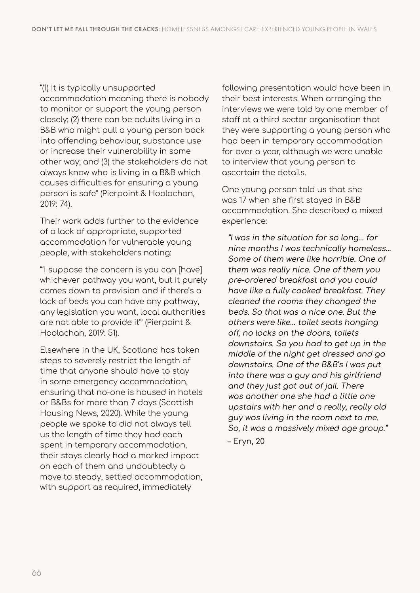#### "(1) It is typically unsupported

accommodation meaning there is nobody to monitor or support the young person closely; (2) there can be adults living in a B&B who might pull a young person back into offending behaviour, substance use or increase their vulnerability in some other way; and (3) the stakeholders do not always know who is living in a B&B which causes difficulties for ensuring a young person is safe" (Pierpoint & Hoolachan, 2019: 74).

Their work adds further to the evidence of a lack of appropriate, supported accommodation for vulnerable young people, with stakeholders noting:

"'I suppose the concern is you can [have] whichever pathway you want, but it purely comes down to provision and if there's a lack of beds you can have any pathway, any legislation you want, local authorities are not able to provide it'" (Pierpoint & Hoolachan, 2019: 51).

Elsewhere in the UK, Scotland has taken steps to severely restrict the length of time that anyone should have to stay in some emergency accommodation, ensuring that no-one is housed in hotels or B&Bs for more than 7 days (Scottish Housing News, 2020). While the young people we spoke to did not always tell us the length of time they had each spent in temporary accommodation, their stays clearly had a marked impact on each of them and undoubtedly a move to steady, settled accommodation, with support as required, immediately

following presentation would have been in their best interests. When arranging the interviews we were told by one member of staff at a third sector organisation that they were supporting a young person who had been in temporary accommodation for over a year, although we were unable to interview that young person to ascertain the details.

One young person told us that she was 17 when she first stayed in B&B accommodation. She described a mixed experience:

"I was in the situation for so long… for nine months I was technically homeless… Some of them were like horrible. One of them was really nice. One of them you pre-ordered breakfast and you could have like a fully cooked breakfast. They cleaned the rooms they changed the beds. So that was a nice one. But the others were like… toilet seats hanging off, no locks on the doors, toilets downstairs. So you had to get up in the middle of the night get dressed and go downstairs. One of the B&B's I was put into there was a guy and his girlfriend and they just got out of jail. There was another one she had a little one upstairs with her and a really, really old guy was living in the room next to me. So, it was a massively mixed age group." – Eryn, 20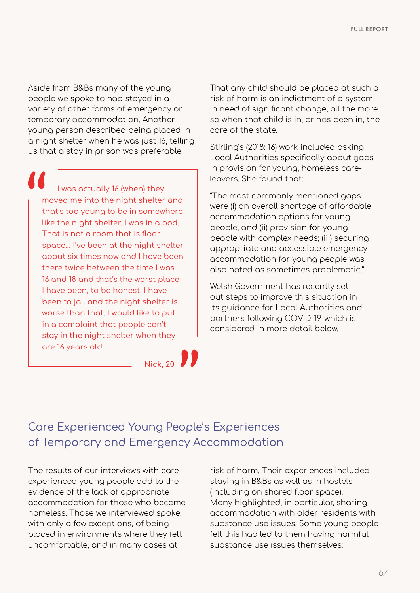Aside from B&Bs many of the young people we spoke to had stayed in a variety of other forms of emergency or temporary accommodation. Another young person described being placed in a night shelter when he was just 16, telling us that a stay in prison was preferable:

I was actually 16 (when) they moved me into the night shelter and that's too young to be in somewhere like the night shelter. I was in a pod. That is not a room that is floor space... I've been at the night shelter about six times now and I have been there twice between the time I was 16 and 18 and that's the worst place I have been, to be honest. I have been to jail and the night shelter is worse than that. I would like to put in a complaint that people can't stay in the night shelter when they are 16 years old.

Welsh Government has recently set

out steps to improve this situation in its guidance for Local Authorities and partners following COVID-19, which is considered in more detail below.

That any child should be placed at such a risk of harm is an indictment of a system in need of significant change; all the more so when that child is in, or has been in, the

Stirling's (2018: 16) work included asking Local Authorities specifically about gaps in provision for young, homeless care-

"The most commonly mentioned gaps were (i) an overall shortage of affordable

people with complex needs; (iii) securing appropriate and accessible emergency accommodation for young people was also noted as sometimes problematic."

accommodation options for young people, and (ii) provision for young

care of the state.

leavers. She found that:

**Nick, 20** 

# Care Experienced Young People's Experiences of Temporary and Emergency Accommodation

The results of our interviews with care experienced young people add to the evidence of the lack of appropriate accommodation for those who become homeless. Those we interviewed spoke, with only a few exceptions, of being placed in environments where they felt uncomfortable, and in many cases at

risk of harm. Their experiences included staying in B&Bs as well as in hostels (including on shared floor space). Many highlighted, in particular, sharing accommodation with older residents with substance use issues. Some young people felt this had led to them having harmful substance use issues themselves: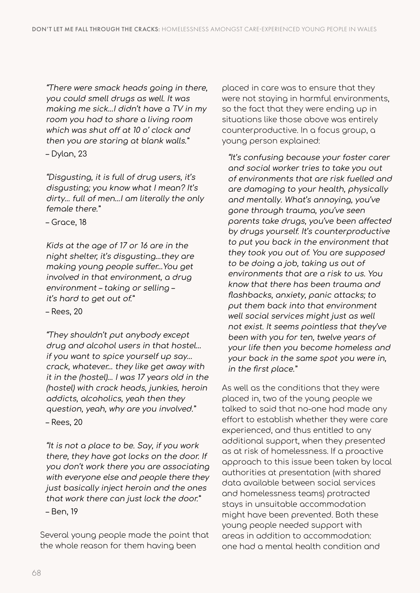"There were smack heads going in there, you could smell drugs as well. It was making me sick…I didn't have a TV in my room you had to share a living room which was shut off at 10 o' clock and then you are staring at blank walls."

– Dylan, 23

"Disgusting, it is full of drug users, it's disgusting; you know what I mean? It's dirty… full of men…I am literally the only female there."

– Grace, 18

Kids at the age of 17 or 16 are in the night shelter, it's disgusting…they are making young people suffer…You get involved in that environment, a drug environment – taking or selling – it's hard to get out of."

– Rees, 20

"They shouldn't put anybody except drug and alcohol users in that hostel… if you want to spice yourself up say… crack, whatever… they like get away with it in the (hostel)… I was 17 years old in the (hostel) with crack heads, junkies, heroin addicts, alcoholics, yeah then they question, yeah, why are you involved." – Rees, 20

"It is not a place to be. Say, if you work there, they have got locks on the door. If you don't work there you are associating with everyone else and people there they just basically inject heroin and the ones that work there can just lock the door."

– Ben, 19

Several young people made the point that the whole reason for them having been

placed in care was to ensure that they were not staying in harmful environments, so the fact that they were ending up in situations like those above was entirely counterproductive. In a focus group, a young person explained:

"It's confusing because your foster carer and social worker tries to take you out of environments that are risk fuelled and are damaging to your health, physically and mentally. What's annoying, you've gone through trauma, you've seen parents take drugs, you've been affected by drugs yourself. It's counterproductive to put you back in the environment that they took you out of. You are supposed to be doing a job, taking us out of environments that are a risk to us. You know that there has been trauma and flashbacks, anxiety, panic attacks; to put them back into that environment well social services might just as well not exist. It seems pointless that they've been with you for ten, twelve years of your life then you become homeless and your back in the same spot you were in, in the first place."

As well as the conditions that they were placed in, two of the young people we talked to said that no-one had made any effort to establish whether they were care experienced, and thus entitled to any additional support, when they presented as at risk of homelessness. If a proactive approach to this issue been taken by local authorities at presentation (with shared data available between social services and homelessness teams) protracted stays in unsuitable accommodation might have been prevented. Both these young people needed support with areas in addition to accommodation: one had a mental health condition and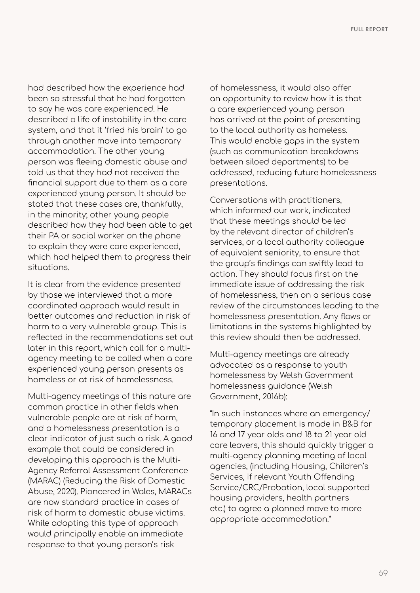had described how the experience had been so stressful that he had forgotten to say he was care experienced. He described a life of instability in the care system, and that it 'fried his brain' to go through another move into temporary accommodation. The other young person was fleeing domestic abuse and told us that they had not received the financial support due to them as a care experienced young person. It should be stated that these cases are, thankfully, in the minority; other young people described how they had been able to get their PA or social worker on the phone to explain they were care experienced, which had helped them to progress their situations.

It is clear from the evidence presented by those we interviewed that a more coordinated approach would result in better outcomes and reduction in risk of harm to a very vulnerable group. This is reflected in the recommendations set out later in this report, which call for a multiagency meeting to be called when a care experienced young person presents as homeless or at risk of homelessness.

Multi-agency meetings of this nature are common practice in other fields when vulnerable people are at risk of harm, and a homelessness presentation is a clear indicator of just such a risk. A good example that could be considered in developing this approach is the Multi-Agency Referral Assessment Conference (MARAC) (Reducing the Risk of Domestic Abuse, 2020). Pioneered in Wales, MARACs are now standard practice in cases of risk of harm to domestic abuse victims. While adopting this type of approach would principally enable an immediate response to that young person's risk

of homelessness, it would also offer an opportunity to review how it is that a care experienced young person has arrived at the point of presenting to the local authority as homeless. This would enable gaps in the system (such as communication breakdowns between siloed departments) to be addressed, reducing future homelessness presentations.

Conversations with practitioners, which informed our work, indicated that these meetings should be led by the relevant director of children's services, or a local authority colleague of equivalent seniority, to ensure that the group's findings can swiftly lead to action. They should focus first on the immediate issue of addressing the risk of homelessness, then on a serious case review of the circumstances leading to the homelessness presentation. Any flaws or limitations in the systems highlighted by this review should then be addressed.

Multi-agency meetings are already advocated as a response to youth homelessness by Welsh Government homelessness guidance (Welsh Government, 2016b):

"In such instances where an emergency/ temporary placement is made in B&B for 16 and 17 year olds and 18 to 21 year old care leavers, this should quickly trigger a multi-agency planning meeting of local agencies, (including Housing, Children's Services, if relevant Youth Offending Service/CRC/Probation, local supported housing providers, health partners etc.) to agree a planned move to more appropriate accommodation."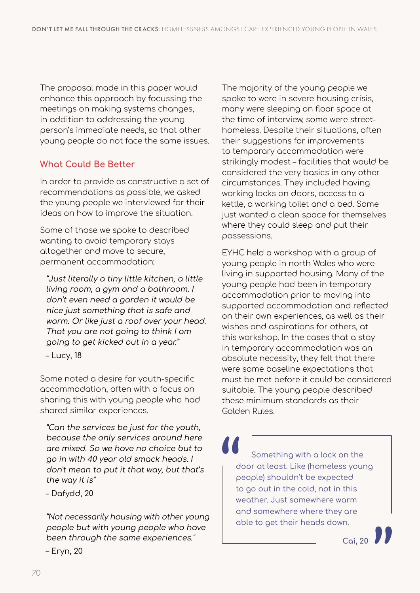The proposal made in this paper would enhance this approach by focussing the meetings on making systems changes, in addition to addressing the young person's immediate needs, so that other young people do not face the same issues.

#### **What Could Be Better**

In order to provide as constructive a set of recommendations as possible, we asked the young people we interviewed for their ideas on how to improve the situation.

Some of those we spoke to described wanting to avoid temporary stays altogether and move to secure, permanent accommodation:

"Just literally a tiny little kitchen, a little living room, a gym and a bathroom. I don't even need a garden it would be nice just something that is safe and warm. Or like just a roof over your head. That you are not going to think I am going to get kicked out in a year."

– Lucy, 18

Some noted a desire for youth-specific accommodation, often with a focus on sharing this with young people who had shared similar experiences.

"Can the services be just for the youth, because the only services around here are mixed. So we have no choice but to go in with 40 year old smack heads. I don't mean to put it that way, but that's the way it is"

– Dafydd, 20

– Eryn, 20

"Not necessarily housing with other young people but with young people who have been through the same experiences."

The majority of the young people we spoke to were in severe housing crisis, many were sleeping on floor space at the time of interview, some were streethomeless. Despite their situations, often their suggestions for improvements to temporary accommodation were strikingly modest – facilities that would be considered the very basics in any other circumstances. They included having working locks on doors, access to a kettle, a working toilet and a bed. Some just wanted a clean space for themselves where they could sleep and put their possessions.

EYHC held a workshop with a group of young people in north Wales who were living in supported housing. Many of the young people had been in temporary accommodation prior to moving into supported accommodation and reflected on their own experiences, as well as their wishes and aspirations for others, at this workshop. In the cases that a stay in temporary accommodation was an absolute necessity, they felt that there were some baseline expectations that must be met before it could be considered suitable. The young people described these minimum standards as their Golden Rules.

Something with a lock on the door at least. Like (homeless young people) shouldn't be expected to go out in the cold, not in this weather. Just somewhere warm and somewhere where they are able to get their heads down.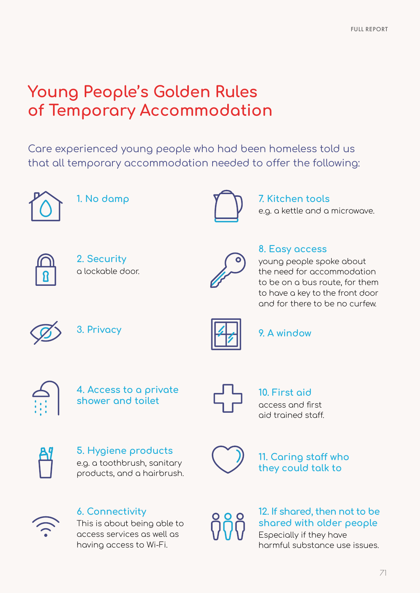# **Young People's Golden Rules of Temporary Accommodation**

Care experienced young people who had been homeless told us that all temporary accommodation needed to offer the following:



**1. No damp**



**7. Kitchen tools** e.g. a kettle and a microwave.



**2. Security** a lockable door.



#### **8. Easy access**

young people spoke about the need for accommodation to be on a bus route, for them to have a key to the front door and for there to be no curfew.

**3. Privacy**



**9. A window**







**10. First aid**  access and first aid trained staff.



**5. Hygiene products** e.g. a toothbrush, sanitary products, and a hairbrush.



**11. Caring staff who they could talk to**



### **6. Connectivity**

This is about being able to access services as well as having access to Wi-Fi.

$$
\mathring{\text{V}}\mathring{\text{V}}
$$

#### **12. If shared, then not to be shared with older people**

Especially if they have harmful substance use issues.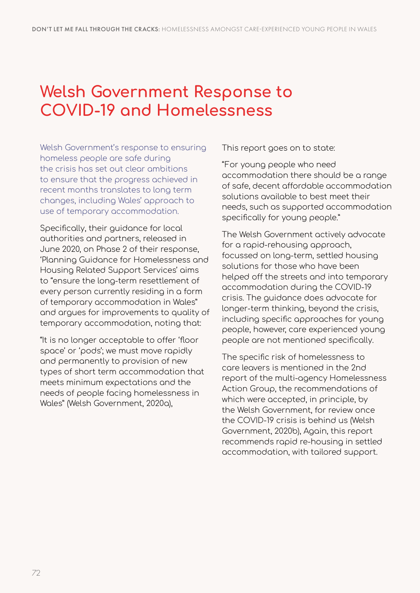# **Welsh Government Response to COVID-19 and Homelessness**

Welsh Government's response to ensuring homeless people are safe during the crisis has set out clear ambitions to ensure that the progress achieved in recent months translates to long term changes, including Wales' approach to use of temporary accommodation.

Specifically, their guidance for local authorities and partners, released in June 2020, on Phase 2 of their response, 'Planning Guidance for Homelessness and Housing Related Support Services' aims to "ensure the long-term resettlement of every person currently residing in a form of temporary accommodation in Wales" and argues for improvements to quality of temporary accommodation, noting that:

"It is no longer acceptable to offer 'floor space' or 'pods'; we must move rapidly and permanently to provision of new types of short term accommodation that meets minimum expectations and the needs of people facing homelessness in Wales" (Welsh Government, 2020a),

This report goes on to state:

"For young people who need accommodation there should be a range of safe, decent affordable accommodation solutions available to best meet their needs, such as supported accommodation specifically for young people."

The Welsh Government actively advocate for a rapid-rehousing approach, focussed on long-term, settled housing solutions for those who have been helped off the streets and into temporary accommodation during the COVID-19 crisis. The guidance does advocate for longer-term thinking, beyond the crisis, including specific approaches for young people, however, care experienced young people are not mentioned specifically.

The specific risk of homelessness to care leavers is mentioned in the 2nd report of the multi-agency Homelessness Action Group, the recommendations of which were accepted, in principle, by the Welsh Government, for review once the COVID-19 crisis is behind us (Welsh Government, 2020b), Again, this report recommends rapid re-housing in settled accommodation, with tailored support.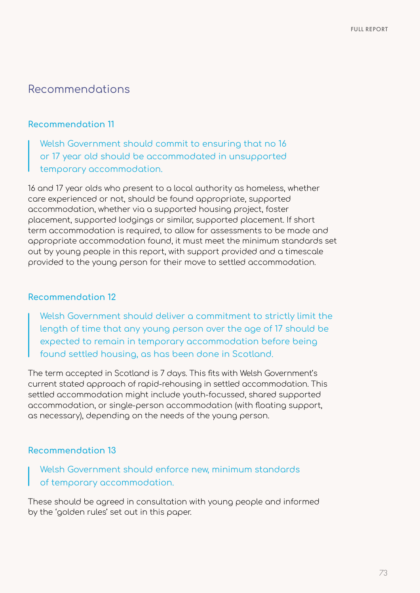### Recommendations

#### **Recommendation 11**

Welsh Government should commit to ensuring that no 16 or 17 year old should be accommodated in unsupported temporary accommodation.

16 and 17 year olds who present to a local authority as homeless, whether care experienced or not, should be found appropriate, supported accommodation, whether via a supported housing project, foster placement, supported lodgings or similar, supported placement. If short term accommodation is required, to allow for assessments to be made and appropriate accommodation found, it must meet the minimum standards set out by young people in this report, with support provided and a timescale provided to the young person for their move to settled accommodation.

#### **Recommendation 12**

Welsh Government should deliver a commitment to strictly limit the length of time that any young person over the age of 17 should be expected to remain in temporary accommodation before being found settled housing, as has been done in Scotland.

The term accepted in Scotland is 7 days. This fits with Welsh Government's current stated approach of rapid-rehousing in settled accommodation. This settled accommodation might include youth-focussed, shared supported accommodation, or single-person accommodation (with floating support, as necessary), depending on the needs of the young person.

#### **Recommendation 13**

Welsh Government should enforce new, minimum standards of temporary accommodation.

These should be agreed in consultation with young people and informed by the 'golden rules' set out in this paper.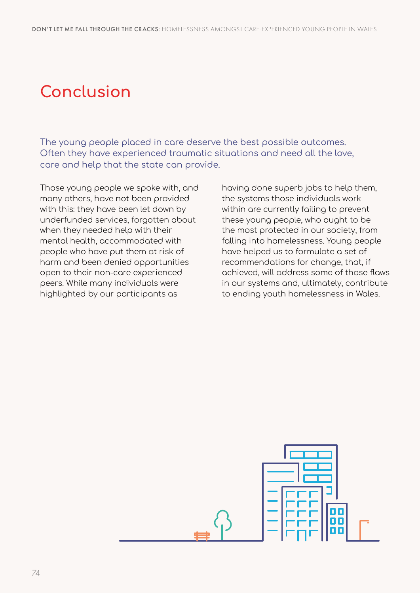# **Conclusion**

The young people placed in care deserve the best possible outcomes. Often they have experienced traumatic situations and need all the love, care and help that the state can provide.

Those young people we spoke with, and many others, have not been provided with this: they have been let down by underfunded services, forgotten about when they needed help with their mental health, accommodated with people who have put them at risk of harm and been denied opportunities open to their non-care experienced peers. While many individuals were highlighted by our participants as

having done superb jobs to help them, the systems those individuals work within are currently failing to prevent these young people, who ought to be the most protected in our society, from falling into homelessness. Young people have helped us to formulate a set of recommendations for change, that, if achieved, will address some of those flaws in our systems and, ultimately, contribute to ending youth homelessness in Wales.

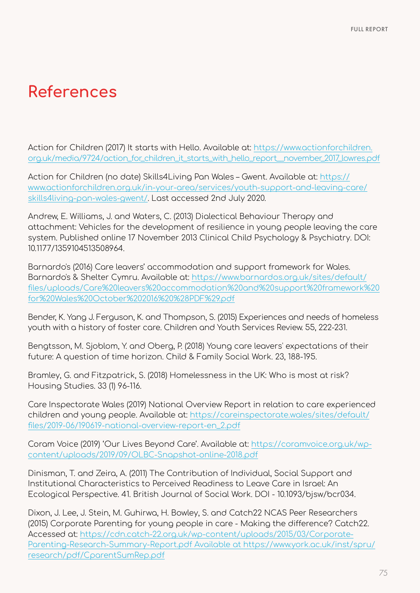## **References**

Action for Children (2017) It starts with Hello. Available at: [https://www.actionforchildren.](https://www.actionforchildren.org.uk/media/9724/action_for_children_it_starts_with_hello_report__november_2017_lowres.pdf) [org.uk/media/9724/action\\_for\\_children\\_it\\_starts\\_with\\_hello\\_report\\_\\_november\\_2017\\_lowres.pdf](https://www.actionforchildren.org.uk/media/9724/action_for_children_it_starts_with_hello_report__november_2017_lowres.pdf)

Action for Children (no date) Skills4Living Pan Wales – Gwent. Available at: [https://](https://www.actionforchildren.org.uk/in-you`r-area/services/youth-support-and-leaving-care/skills4living-pan-wales-gwent/) [www.actionforchildren.org.uk/in-your-area/services/youth-support-and-leaving-care/](https://www.actionforchildren.org.uk/in-you`r-area/services/youth-support-and-leaving-care/skills4living-pan-wales-gwent/) [skills4living-pan-wales-gwent/](https://www.actionforchildren.org.uk/in-you`r-area/services/youth-support-and-leaving-care/skills4living-pan-wales-gwent/). Last accessed 2nd July 2020.

Andrew, E. Williams, J. and Waters, C. (2013) Dialectical Behaviour Therapy and attachment: Vehicles for the development of resilience in young people leaving the care system. Published online 17 November 2013 Clinical Child Psychology & Psychiatry. DOI: 10.1177/1359104513508964.

Barnardo's (2016) Care leavers' accommodation and support framework for Wales. Barnardo's & Shelter Cymru. Available at: [https://www.barnardos.org.uk/sites/default/](https://www.barnardos.org.uk/sites/default/files/uploads/Care%20leavers%20accommodation%20and%20support%20framework%20for%20Wales%20October%202016%20%28PDF%29.pdf) [files/uploads/Care%20leavers%20accommodation%20and%20support%20framework%20](https://www.barnardos.org.uk/sites/default/files/uploads/Care%20leavers%20accommodation%20and%20support%20framework%20for%20Wales%20October%202016%20%28PDF%29.pdf) [for%20Wales%20October%202016%20%28PDF%29.pdf](https://www.barnardos.org.uk/sites/default/files/uploads/Care%20leavers%20accommodation%20and%20support%20framework%20for%20Wales%20October%202016%20%28PDF%29.pdf)

Bender, K. Yang J. Ferguson, K. and Thompson, S. (2015) Experiences and needs of homeless youth with a history of foster care. Children and Youth Services Review. 55, 222-231.

Bengtsson, M. Sjoblom, Y. and Oberg, P. (2018) Young care leavers' expectations of their future: A question of time horizon. Child & Family Social Work. 23, 188-195.

Bramley, G. and Fitzpatrick, S. (2018) Homelessness in the UK: Who is most at risk? Housing Studies. 33 (1) 96-116.

Care Inspectorate Wales (2019) National Overview Report in relation to care experienced children and young people. Available at: [https://careinspectorate.wales/sites/default/](https://careinspectorate.wales/sites/default/files/2019-06/190619-national-overview-report-en_2.pdf) [files/2019-06/190619-national-overview-report-en\\_2.pdf](https://careinspectorate.wales/sites/default/files/2019-06/190619-national-overview-report-en_2.pdf)

Coram Voice (2019) 'Our Lives Beyond Care'. Available at: [https://coramvoice.org.uk/wp](https://coramvoice.org.uk/wp-content/uploads/2019/09/OLBC-Snapshot-online-2018.pdf)[content/uploads/2019/09/OLBC-Snapshot-online-2018.pdf](https://coramvoice.org.uk/wp-content/uploads/2019/09/OLBC-Snapshot-online-2018.pdf)

Dinisman, T. and Zeira, A. (2011) The Contribution of Individual, Social Support and Institutional Characteristics to Perceived Readiness to Leave Care in Israel: An Ecological Perspective. 41. British Journal of Social Work. DOI - 10.1093/bjsw/bcr034.

Dixon, J. Lee, J. Stein, M. Guhirwa, H. Bowley, S. and Catch22 NCAS Peer Researchers (2015) Corporate Parenting for young people in care - Making the difference? Catch22. Accessed at: [https://cdn.catch-22.org.uk/wp-content/uploads/2015/03/Corporate-](https://cdn.catch-22.org.uk/wp-content/uploads/2015/03/Corporate-Parenting-Research-Summary-Report.pdf Available at https://www.york.ac.uk/inst/spru/research/pdf/CparentSumRep.pdf)[Parenting-Research-Summary-Report.pdf Available at https://www.york.ac.uk/inst/spru/](https://cdn.catch-22.org.uk/wp-content/uploads/2015/03/Corporate-Parenting-Research-Summary-Report.pdf Available at https://www.york.ac.uk/inst/spru/research/pdf/CparentSumRep.pdf) [research/pdf/CparentSumRep.pdf](https://cdn.catch-22.org.uk/wp-content/uploads/2015/03/Corporate-Parenting-Research-Summary-Report.pdf Available at https://www.york.ac.uk/inst/spru/research/pdf/CparentSumRep.pdf)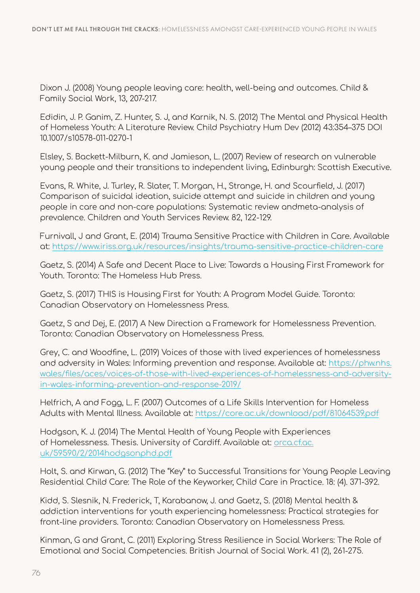Dixon J. (2008) Young people leaving care: health, well-being and outcomes. Child & Family Social Work, 13, 207-217.

Edidin, J. P. Ganim, Z. Hunter, S. J, and Karnik, N. S. (2012) The Mental and Physical Health of Homeless Youth: A Literature Review. Child Psychiatry Hum Dev (2012) 43:354–375 DOI 10.1007/s10578-011-0270-1

Elsley, S. Backett-Milburn, K. and Jamieson, L. (2007) Review of research on vulnerable young people and their transitions to independent living, Edinburgh: Scottish Executive.

Evans, R. White, J. Turley, R. Slater, T. Morgan, H., Strange, H. and Scourfield, J. (2017) Comparison of suicidal ideation, suicide attempt and suicide in children and young people in care and non-care populations: Systematic review andmeta-analysis of prevalence. Children and Youth Services Review. 82, 122-129.

Furnivall, J and Grant, E. (2014) Trauma Sensitive Practice with Children in Care. Available at: <https://www.iriss.org.uk/resources/insights/trauma-sensitive-practice-children-care>

Gaetz, S. (2014) A Safe and Decent Place to Live: Towards a Housing First Framework for Youth. Toronto: The Homeless Hub Press.

Gaetz, S. (2017) THIS is Housing First for Youth: A Program Model Guide. Toronto: Canadian Observatory on Homelessness Press.

Gaetz, S and Dej, E. (2017) A New Direction a Framework for Homelessness Prevention. Toronto: Canadian Observatory on Homelessness Press.

Grey, C. and Woodfine, L. (2019) Voices of those with lived experiences of homelessness and adversity in Wales: Informing prevention and response. Available at: [https://phw.nhs.](https://phw.nhs.wales/files/aces/voices-of-those-with-lived-experiences-of-homelessness-and-adversity-in-wales-informing-prevention-and-response-2019/) [wales/files/aces/voices-of-those-with-lived-experiences-of-homelessness-and-adversity](https://phw.nhs.wales/files/aces/voices-of-those-with-lived-experiences-of-homelessness-and-adversity-in-wales-informing-prevention-and-response-2019/)[in-wales-informing-prevention-and-response-2019/](https://phw.nhs.wales/files/aces/voices-of-those-with-lived-experiences-of-homelessness-and-adversity-in-wales-informing-prevention-and-response-2019/)

Helfrich, A and Fogg, L. F. (2007) Outcomes of a Life Skills Intervention for Homeless Adults with Mental Illness. Available at: <https://core.ac.uk/download/pdf/81064539.pdf>

Hodgson, K. J. (2014) The Mental Health of Young People with Experiences of Homelessness. Thesis. University of Cardiff. Available at: [orca.cf.ac.](http://orca.cf.ac.uk/59590/2/2014hodgsonphd.pdf) [uk/59590/2/2014hodgsonphd.pdf](http://orca.cf.ac.uk/59590/2/2014hodgsonphd.pdf)

Holt, S. and Kirwan, G. (2012) The "Key" to Successful Transitions for Young People Leaving Residential Child Care: The Role of the Keyworker, Child Care in Practice. 18: (4). 371-392.

Kidd, S. Slesnik, N. Frederick, T, Karabanow, J. and Gaetz, S. (2018) Mental health & addiction interventions for youth experiencing homelessness: Practical strategies for front-line providers. Toronto: Canadian Observatory on Homelessness Press.

Kinman, G and Grant, C. (2011) Exploring Stress Resilience in Social Workers: The Role of Emotional and Social Competencies. British Journal of Social Work. 41 (2), 261-275.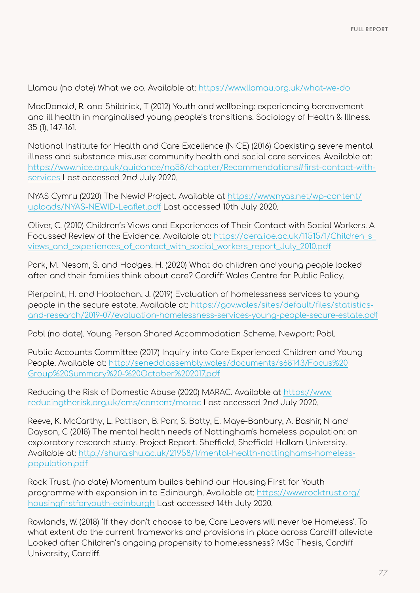Llamau (no date) What we do. Available at:<https://www.llamau.org.uk/what-we-do>

MacDonald, R. and Shildrick, T (2012) Youth and wellbeing: experiencing bereavement and ill health in marginalised young people's transitions. Sociology of Health & Illness. 35 (1), 147–161.

National Institute for Health and Care Excellence (NICE) (2016) Coexisting severe mental illness and substance misuse: community health and social care services. Available at: [https://www.nice.org.uk/guidance/ng58/chapter/Recommendations#first-contact-with](https://www.nice.org.uk/guidance/ng58/chapter/Recommendations#first-contact-with-services)[services](https://www.nice.org.uk/guidance/ng58/chapter/Recommendations#first-contact-with-services) Last accessed 2nd July 2020.

NYAS Cymru (2020) The Newid Project. Available at [https://www.nyas.net/wp-content/](https://www.nyas.net/wp-content/uploads/NYAS-NEWID-Leaflet.pdf) [uploads/NYAS-NEWID-Leaflet.pdf](https://www.nyas.net/wp-content/uploads/NYAS-NEWID-Leaflet.pdf) Last accessed 10th July 2020.

Oliver, C. (2010) Children's Views and Experiences of Their Contact with Social Workers. A Focussed Review of the Evidence. Available at: https://dera.joe.ac.uk/11515/1/Children\_s [views\\_and\\_experiences\\_of\\_contact\\_with\\_social\\_workers\\_report\\_July\\_2010.pdf](https://dera.ioe.ac.uk/11515/1/Children_s_views_and_experiences_of_contact_with_social_workers_report_July_2010.pdf)

Park, M. Nesom, S. and Hodges. H. (2020) What do children and young people looked after and their families think about care? Cardiff: Wales Centre for Public Policy.

Pierpoint, H. and Hoolachan, J. (2019) Evaluation of homelessness services to young people in the secure estate. Available at: [https://gov.wales/sites/default/files/statistics](https://gov.wales/sites/default/files/statistics-and-research/2019-07/evaluation-homelessness-services-young-people-secure-estate.pdf)[and-research/2019-07/evaluation-homelessness-services-young-people-secure-estate.pdf](https://gov.wales/sites/default/files/statistics-and-research/2019-07/evaluation-homelessness-services-young-people-secure-estate.pdf)

Pobl (no date). Young Person Shared Accommodation Scheme. Newport: Pobl.

Public Accounts Committee (2017) Inquiry into Care Experienced Children and Young People. Available at: [http://senedd.assembly.wales/documents/s68143/Focus%20](http://senedd.assembly.wales/documents/s68143/Focus%20Group%20Summary%20-%20October%202017.pdf) [Group%20Summary%20-%20October%202017.pdf](http://senedd.assembly.wales/documents/s68143/Focus%20Group%20Summary%20-%20October%202017.pdf)

Reducing the Risk of Domestic Abuse (2020) MARAC. Available at [https://www.](https://www.reducingtherisk.org.uk/cms/content/marac) [reducingtherisk.org.uk/cms/content/marac](https://www.reducingtherisk.org.uk/cms/content/marac) Last accessed 2nd July 2020.

Reeve, K. McCarthy, L. Pattison, B. Parr, S. Batty, E. Maye-Banbury, A. Bashir, N and Dayson, C (2018) The mental health needs of Nottingham's homeless population: an exploratory research study. Project Report. Sheffield, Sheffield Hallam University. Available at: [http://shura.shu.ac.uk/21958/1/mental-health-nottinghams-homeless](http://shura.shu.ac.uk/21958/1/mental-health-nottinghams-homeless-population.pdf)[population.pdf](http://shura.shu.ac.uk/21958/1/mental-health-nottinghams-homeless-population.pdf)

Rock Trust. (no date) Momentum builds behind our Housing First for Youth programme with expansion in to Edinburgh. Available at: [https://www.rocktrust.org/](https://www.rocktrust.org/housingfirstforyouth-edinburgh) [housingfirstforyouth-edinburgh](https://www.rocktrust.org/housingfirstforyouth-edinburgh) Last accessed 14th July 2020.

Rowlands, W. (2018) 'If they don't choose to be, Care Leavers will never be Homeless'. To what extent do the current frameworks and provisions in place across Cardiff alleviate Looked after Children's ongoing propensity to homelessness? MSc Thesis, Cardiff University, Cardiff.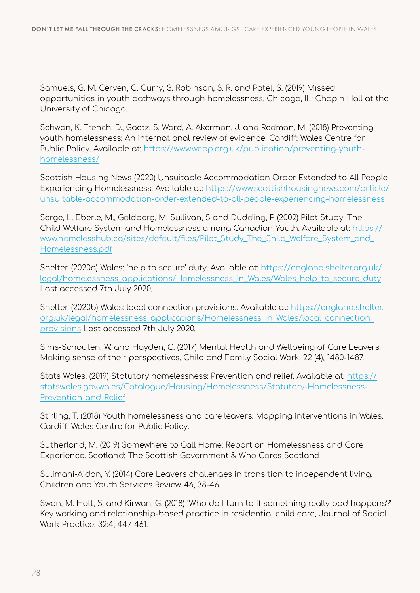Samuels, G. M. Cerven, C. Curry, S. Robinson, S. R. and Patel, S. (2019) Missed opportunities in youth pathways through homelessness. Chicago, IL: Chapin Hall at the University of Chicago.

Schwan, K. French, D., Gaetz, S. Ward, A. Akerman, J. and Redman, M. (2018) Preventing youth homelessness: An international review of evidence. Cardiff: Wales Centre for Public Policy. Available at: [https://www.wcpp.org.uk/publication/preventing-youth](https://www.wcpp.org.uk/publication/preventing-youth-homelessness/)[homelessness/](https://www.wcpp.org.uk/publication/preventing-youth-homelessness/)

Scottish Housing News (2020) Unsuitable Accommodation Order Extended to All People Experiencing Homelessness. Available at: [https://www.scottishhousingnews.com/article/](https://www.scottishhousingnews.com/article/unsuitable-accommodation-order-extended-to-all-people-experiencing-homelessness) [unsuitable-accommodation-order-extended-to-all-people-experiencing-homelessness](https://www.scottishhousingnews.com/article/unsuitable-accommodation-order-extended-to-all-people-experiencing-homelessness)

Serge, L. Eberle, M., Goldberg, M. Sullivan, S and Dudding, P. (2002) Pilot Study: The Child Welfare System and Homelessness among Canadian Youth. Available at: [https://](https://www.homelesshub.ca/sites/default/files/Pilot_Study_The_Child_Welfare_System_and_Homelessness.pdf) [www.homelesshub.ca/sites/default/files/Pilot\\_Study\\_The\\_Child\\_Welfare\\_System\\_and\\_](https://www.homelesshub.ca/sites/default/files/Pilot_Study_The_Child_Welfare_System_and_Homelessness.pdf) [Homelessness.pdf](https://www.homelesshub.ca/sites/default/files/Pilot_Study_The_Child_Welfare_System_and_Homelessness.pdf)

Shelter. (2020a) Wales: 'help to secure' duty. Available at: [https://england.shelter.org.uk/](https://england.shelter.org.uk/legal/homelessness_applications/Homelessness_in_Wales/Wales_help_to_secure_duty) [legal/homelessness\\_applications/Homelessness\\_in\\_Wales/Wales\\_help\\_to\\_secure\\_duty](https://england.shelter.org.uk/legal/homelessness_applications/Homelessness_in_Wales/Wales_help_to_secure_duty) Last accessed 7th July 2020.

Shelter. (2020b) Wales: local connection provisions. Available at: [https://england.shelter.](https://england.shelter.org.uk/legal/homelessness_applications/Homelessness_in_Wales/local_connection_provisions) [org.uk/legal/homelessness\\_applications/Homelessness\\_in\\_Wales/local\\_connection\\_](https://england.shelter.org.uk/legal/homelessness_applications/Homelessness_in_Wales/local_connection_provisions) [provisions](https://england.shelter.org.uk/legal/homelessness_applications/Homelessness_in_Wales/local_connection_provisions) Last accessed 7th July 2020.

Sims-Schouten, W. and Hayden, C. (2017) Mental Health and Wellbeing of Care Leavers: Making sense of their perspectives. Child and Family Social Work. 22 (4), 1480-1487.

Stats Wales. (2019) Statutory homelessness: Prevention and relief. Available at: [https://](https://statswales.gov.wales/Catalogue/Housing/Homelessness/Statutory-Homelessness-Prevention-and-Relief) [statswales.gov.wales/Catalogue/Housing/Homelessness/Statutory-Homelessness-](https://statswales.gov.wales/Catalogue/Housing/Homelessness/Statutory-Homelessness-Prevention-and-Relief)[Prevention-and-Relief](https://statswales.gov.wales/Catalogue/Housing/Homelessness/Statutory-Homelessness-Prevention-and-Relief)

Stirling, T. (2018) Youth homelessness and care leavers: Mapping interventions in Wales. Cardiff: Wales Centre for Public Policy.

Sutherland, M. (2019) Somewhere to Call Home: Report on Homelessness and Care Experience. Scotland: The Scottish Government & Who Cares Scotland

Sulimani-Aidan, Y. (2014) Care Leavers challenges in transition to independent living. Children and Youth Services Review. 46, 38-46.

Swan, M. Holt, S. and Kirwan, G. (2018) 'Who do I turn to if something really bad happens?' Key working and relationship-based practice in residential child care, Journal of Social Work Practice, 32:4, 447-461.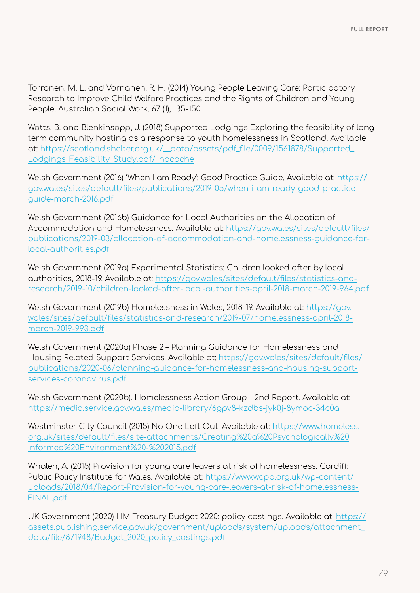Torronen, M. L. and Vornanen, R. H. (2014) Young People Leaving Care: Participatory Research to Improve Child Welfare Practices and the Rights of Children and Young People. Australian Social Work. 67 (1), 135-150.

Watts, B. and Blenkinsopp, J. (2018) Supported Lodgings Exploring the feasibility of longterm community hosting as a response to youth homelessness in Scotland. Available at: [https://scotland.shelter.org.uk/\\_\\_data/assets/pdf\\_file/0009/1561878/Supported\\_](https://scotland.shelter.org.uk/__data/assets/pdf_file/0009/1561878/Supported_Lodgings_Feasibility_Study.pdf/_nocache) [Lodgings\\_Feasibility\\_Study.pdf/\\_nocache](https://scotland.shelter.org.uk/__data/assets/pdf_file/0009/1561878/Supported_Lodgings_Feasibility_Study.pdf/_nocache)

Welsh Government (2016) 'When I am Ready': Good Practice Guide. Available at: [https://](https://gov.wales/sites/default/files/publications/2019-05/when-i-am-ready-good-practice-guide-march-2016.pdf) [gov.wales/sites/default/files/publications/2019-05/when-i-am-ready-good-practice](https://gov.wales/sites/default/files/publications/2019-05/when-i-am-ready-good-practice-guide-march-2016.pdf)[guide-march-2016.pdf](https://gov.wales/sites/default/files/publications/2019-05/when-i-am-ready-good-practice-guide-march-2016.pdf)

Welsh Government (2016b) Guidance for Local Authorities on the Allocation of Accommodation and Homelessness. Available at: [https://gov.wales/sites/default/files/](https://gov.wales/sites/default/files/publications/2019-03/allocation-of-accommodation-and-homelessness-guidance-for-local-authorities.pdf) [publications/2019-03/allocation-of-accommodation-and-homelessness-guidance-for](https://gov.wales/sites/default/files/publications/2019-03/allocation-of-accommodation-and-homelessness-guidance-for-local-authorities.pdf)[local-authorities.pdf](https://gov.wales/sites/default/files/publications/2019-03/allocation-of-accommodation-and-homelessness-guidance-for-local-authorities.pdf)

Welsh Government (2019a) Experimental Statistics: Children looked after by local authorities, 2018-19. Available at: [https://gov.wales/sites/default/files/statistics-and](https://gov.wales/sites/default/files/statistics-and-research/2019-10/children-looked-after-local-authorities-april-2018-march-2019-964.pdf)[research/2019-10/children-looked-after-local-authorities-april-2018-march-2019-964.pdf](https://gov.wales/sites/default/files/statistics-and-research/2019-10/children-looked-after-local-authorities-april-2018-march-2019-964.pdf)

Welsh Government (2019b) Homelessness in Wales, 2018-19. Available at: [https://gov.](https://gov.wales/sites/default/files/statistics-and-research/2019-07/homelessness-april-2018-march-2019-993.pdf) [wales/sites/default/files/statistics-and-research/2019-07/homelessness-april-2018](https://gov.wales/sites/default/files/statistics-and-research/2019-07/homelessness-april-2018-march-2019-993.pdf) [march-2019-993.pdf](https://gov.wales/sites/default/files/statistics-and-research/2019-07/homelessness-april-2018-march-2019-993.pdf)

Welsh Government (2020a) Phase 2 – Planning Guidance for Homelessness and Housing Related Support Services. Available at: [https://gov.wales/sites/default/files/](https://gov.wales/sites/default/files/publications/2020-06/planning-guidance-for-homelessness-and-housing-support-services-coronavirus.pdf) [publications/2020-06/planning-guidance-for-homelessness-and-housing-support](https://gov.wales/sites/default/files/publications/2020-06/planning-guidance-for-homelessness-and-housing-support-services-coronavirus.pdf)[services-coronavirus.pdf](https://gov.wales/sites/default/files/publications/2020-06/planning-guidance-for-homelessness-and-housing-support-services-coronavirus.pdf)

Welsh Government (2020b). Homelessness Action Group - 2nd Report. Available at: <https://media.service.gov.wales/media-library/6gpv8-kzdbs-jyk0j-8ymoc-34c0a>

Westminster City Council (2015) No One Left Out. Available at: [https://www.homeless.](https://www.homeless.org.uk/sites/default/files/site-attachments/Creating%20a%20Psychologically%20Informed%20Environment%20-%202015.pdf) [org.uk/sites/default/files/site-attachments/Creating%20a%20Psychologically%20](https://www.homeless.org.uk/sites/default/files/site-attachments/Creating%20a%20Psychologically%20Informed%20Environment%20-%202015.pdf) [Informed%20Environment%20-%202015.pdf](https://www.homeless.org.uk/sites/default/files/site-attachments/Creating%20a%20Psychologically%20Informed%20Environment%20-%202015.pdf)

Whalen, A. (2015) Provision for young care leavers at risk of homelessness. Cardiff: Public Policy Institute for Wales. Available at: [https://www.wcpp.org.uk/wp-content/](https://www.wcpp.org.uk/wp-content/uploads/2018/04/Report-Provision-for-young-care-leavers-at-risk-of-homelessness-FINAL.pdf) [uploads/2018/04/Report-Provision-for-young-care-leavers-at-risk-of-homelessness-](https://www.wcpp.org.uk/wp-content/uploads/2018/04/Report-Provision-for-young-care-leavers-at-risk-of-homelessness-FINAL.pdf)[FINAL.pdf](https://www.wcpp.org.uk/wp-content/uploads/2018/04/Report-Provision-for-young-care-leavers-at-risk-of-homelessness-FINAL.pdf)

UK Government (2020) HM Treasury Budget 2020: policy costings. Available at: [https://](https://assets.publishing.service.gov.uk/government/uploads/system/uploads/attachment_data/file/871948/Budget_2020_policy_costings.pdf) [assets.publishing.service.gov.uk/government/uploads/system/uploads/attachment\\_](https://assets.publishing.service.gov.uk/government/uploads/system/uploads/attachment_data/file/871948/Budget_2020_policy_costings.pdf) [data/file/871948/Budget\\_2020\\_policy\\_costings.pdf](https://assets.publishing.service.gov.uk/government/uploads/system/uploads/attachment_data/file/871948/Budget_2020_policy_costings.pdf)